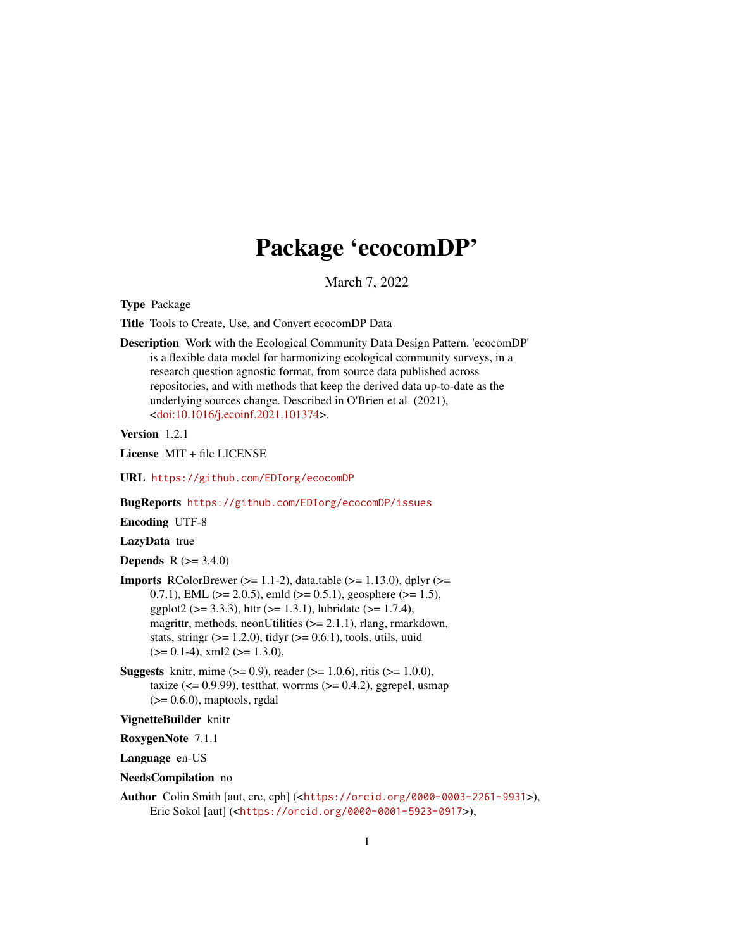# Package 'ecocomDP'

March 7, 2022

Type Package

Title Tools to Create, Use, and Convert ecocomDP Data

Description Work with the Ecological Community Data Design Pattern. 'ecocomDP' is a flexible data model for harmonizing ecological community surveys, in a research question agnostic format, from source data published across repositories, and with methods that keep the derived data up-to-date as the underlying sources change. Described in O'Brien et al. (2021), [<doi:10.1016/j.ecoinf.2021.101374>](https://doi.org/10.1016/j.ecoinf.2021.101374).

Version 1.2.1

License MIT + file LICENSE

URL <https://github.com/EDIorg/ecocomDP>

BugReports <https://github.com/EDIorg/ecocomDP/issues>

Encoding UTF-8

LazyData true

**Depends**  $R (= 3.4.0)$ 

- **Imports** RColorBrewer ( $>= 1.1-2$ ), data.table ( $>= 1.13.0$ ), dplyr ( $>= 1.13$ 0.7.1), EML ( $>= 2.0.5$ ), emld ( $>= 0.5.1$ ), geosphere ( $>= 1.5$ ), ggplot2 ( $> = 3.3.3$ ), httr ( $>= 1.3.1$ ), lubridate ( $>= 1.7.4$ ), magrittr, methods, neonUtilities (>= 2.1.1), rlang, rmarkdown, stats, stringr  $(>= 1.2.0)$ , tidyr  $(>= 0.6.1)$ , tools, utils, uuid  $(>= 0.1-4)$ , xml2  $(>= 1.3.0)$ ,
- **Suggests** knitr, mime  $(>= 0.9)$ , reader  $(>= 1.0.6)$ , ritis  $(>= 1.0.0)$ , taxize  $\left( \leq 0.9.99 \right)$ , test that, worrms  $\left( \geq 0.4.2 \right)$ , ggrepel, usmap  $(>= 0.6.0)$ , maptools, rgdal

# VignetteBuilder knitr

RoxygenNote 7.1.1

Language en-US

NeedsCompilation no

Author Colin Smith [aut, cre, cph] (<<https://orcid.org/0000-0003-2261-9931>>), Eric Sokol [aut] (<<https://orcid.org/0000-0001-5923-0917>>),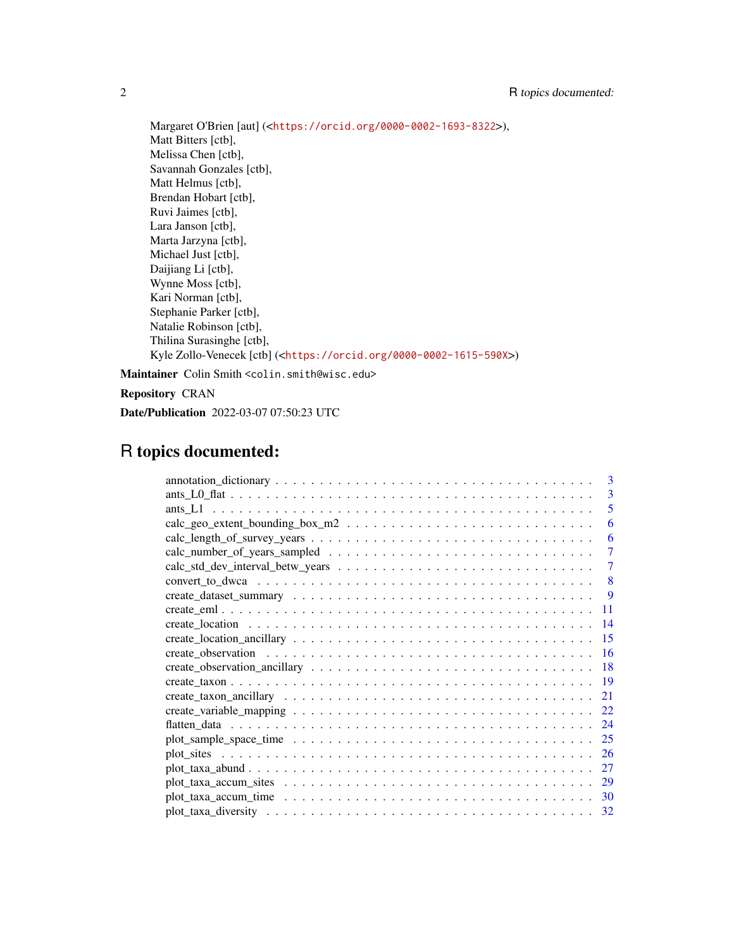Margaret O'Brien [aut] (<<https://orcid.org/0000-0002-1693-8322>>), Matt Bitters [ctb], Melissa Chen [ctb], Savannah Gonzales [ctb], Matt Helmus [ctb], Brendan Hobart [ctb], Ruvi Jaimes [ctb], Lara Janson [ctb], Marta Jarzyna [ctb], Michael Just [ctb], Daijiang Li [ctb], Wynne Moss [ctb], Kari Norman [ctb], Stephanie Parker [ctb], Natalie Robinson [ctb], Thilina Surasinghe [ctb], Kyle Zollo-Venecek [ctb] (<<https://orcid.org/0000-0002-1615-590X>>)

Maintainer Colin Smith <colin.smith@wisc.edu>

Repository CRAN

Date/Publication 2022-03-07 07:50:23 UTC

# R topics documented:

|     | $\mathbf{3}$ |
|-----|--------------|
|     | 3            |
|     | 5            |
|     | 6            |
|     | 6            |
|     | 7            |
|     |              |
|     | 8            |
|     | <b>9</b>     |
|     | 11           |
| -14 |              |
|     | 15           |
|     | <b>16</b>    |
|     | 18           |
| -19 |              |
| 21  |              |
|     | 22           |
|     | 24           |
|     | 25           |
|     | <b>26</b>    |
| 27  |              |
|     | 29           |
|     |              |
|     |              |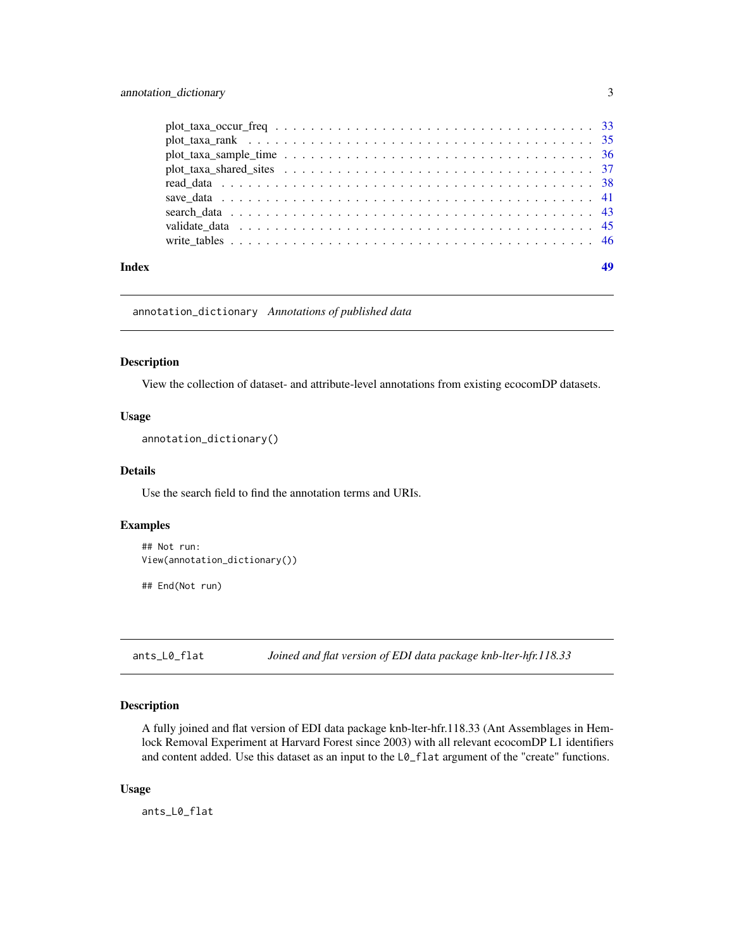<span id="page-2-0"></span>

| Index |  |  |  |  |  |  |
|-------|--|--|--|--|--|--|

annotation\_dictionary *Annotations of published data*

# Description

View the collection of dataset- and attribute-level annotations from existing ecocomDP datasets.

# Usage

annotation\_dictionary()

#### Details

Use the search field to find the annotation terms and URIs.

#### Examples

```
## Not run:
View(annotation_dictionary())
```
## End(Not run)

ants\_L0\_flat *Joined and flat version of EDI data package knb-lter-hfr.118.33*

# Description

A fully joined and flat version of EDI data package knb-lter-hfr.118.33 (Ant Assemblages in Hemlock Removal Experiment at Harvard Forest since 2003) with all relevant ecocomDP L1 identifiers and content added. Use this dataset as an input to the L0\_flat argument of the "create" functions.

#### Usage

ants\_L0\_flat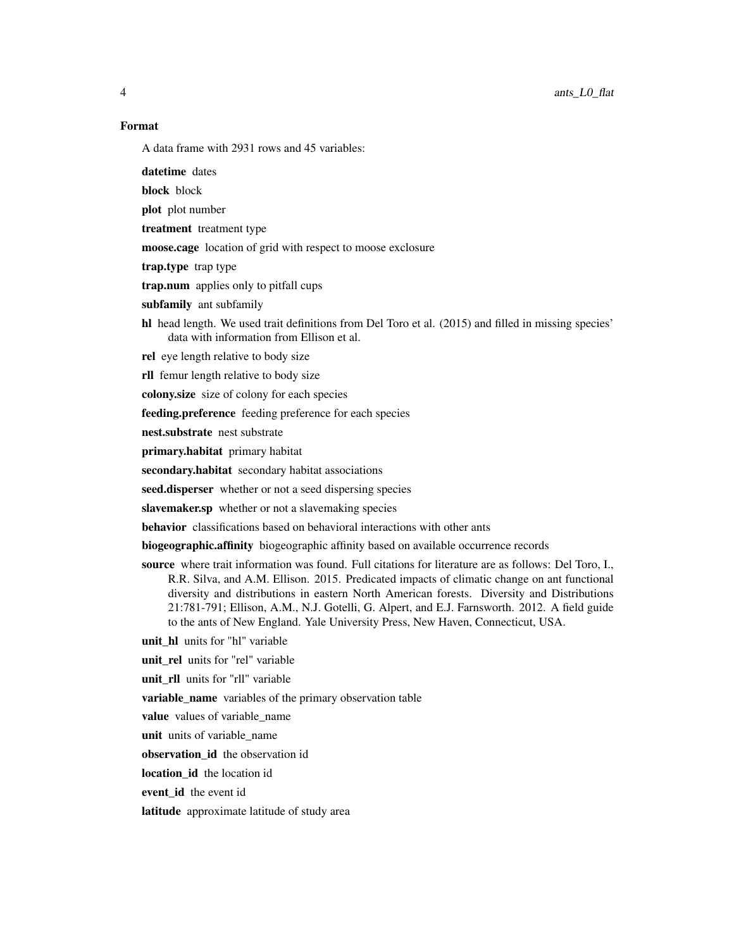4 ants\_L0\_flat

# Format

A data frame with 2931 rows and 45 variables:

- datetime dates
- block block
- plot plot number
- treatment treatment type
- moose.cage location of grid with respect to moose exclosure
- trap.type trap type
- trap.num applies only to pitfall cups
- subfamily ant subfamily
- hl head length. We used trait definitions from Del Toro et al. (2015) and filled in missing species' data with information from Ellison et al.
- rel eye length relative to body size
- rll femur length relative to body size
- colony.size size of colony for each species
- feeding.preference feeding preference for each species
- nest.substrate nest substrate
- primary.habitat primary habitat
- secondary.habitat secondary habitat associations
- seed.disperser whether or not a seed dispersing species
- slavemaker.sp whether or not a slavemaking species
- behavior classifications based on behavioral interactions with other ants
- biogeographic.affinity biogeographic affinity based on available occurrence records
- source where trait information was found. Full citations for literature are as follows: Del Toro, I., R.R. Silva, and A.M. Ellison. 2015. Predicated impacts of climatic change on ant functional diversity and distributions in eastern North American forests. Diversity and Distributions 21:781-791; Ellison, A.M., N.J. Gotelli, G. Alpert, and E.J. Farnsworth. 2012. A field guide to the ants of New England. Yale University Press, New Haven, Connecticut, USA.
- unit\_hl units for "hl" variable
- unit\_rel units for "rel" variable
- unit\_rll units for "rll" variable
- variable\_name variables of the primary observation table
- value values of variable\_name
- unit units of variable\_name
- observation\_id the observation id
- location id the location id
- event id the event id
- latitude approximate latitude of study area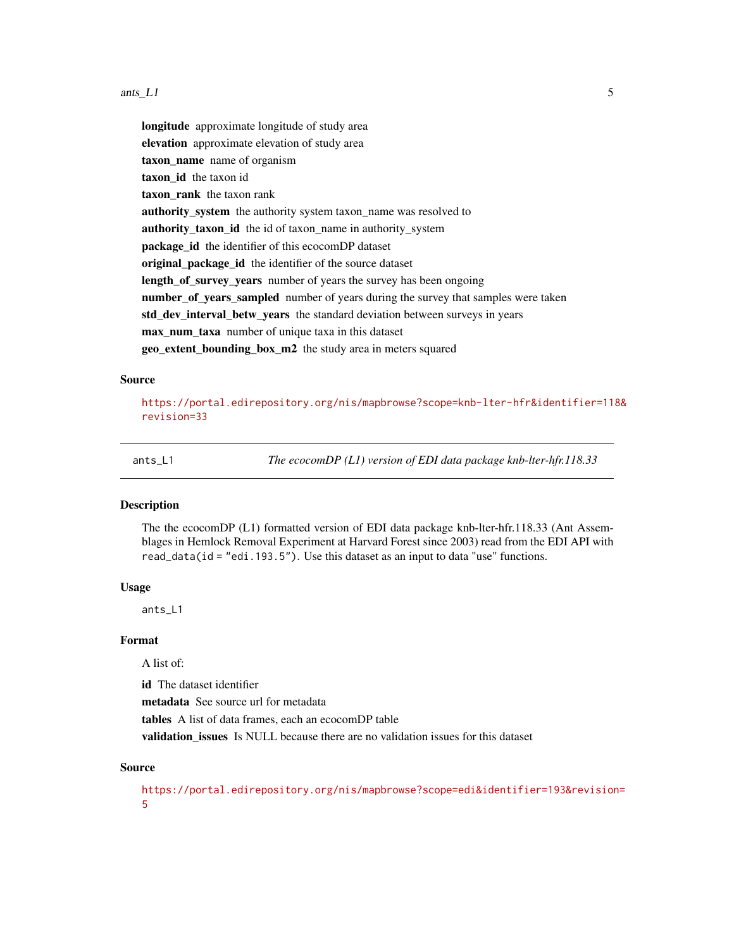#### <span id="page-4-0"></span>ants\_L1 5

longitude approximate longitude of study area elevation approximate elevation of study area taxon\_name name of organism taxon\_id the taxon id taxon rank the taxon rank authority\_system the authority system taxon\_name was resolved to authority\_taxon\_id the id of taxon\_name in authority\_system package id the identifier of this ecocomDP dataset original\_package\_id the identifier of the source dataset length\_of\_survey\_years number of years the survey has been ongoing number\_of\_years\_sampled number of years during the survey that samples were taken std\_dev\_interval\_betw\_years the standard deviation between surveys in years max\_num\_taxa number of unique taxa in this dataset geo\_extent\_bounding\_box\_m2 the study area in meters squared

#### Source

[https://portal.edirepository.org/nis/mapbrowse?scope=knb-lter-hfr&identifier=118](https://portal.edirepository.org/nis/mapbrowse?scope=knb-lter-hfr&identifier=118&revision=33)& [revision=33](https://portal.edirepository.org/nis/mapbrowse?scope=knb-lter-hfr&identifier=118&revision=33)

ants\_L1 *The ecocomDP (L1) version of EDI data package knb-lter-hfr.118.33*

#### Description

The the ecocomDP (L1) formatted version of EDI data package knb-lter-hfr.118.33 (Ant Assemblages in Hemlock Removal Experiment at Harvard Forest since 2003) read from the EDI API with read\_data(id = "edi.193.5"). Use this dataset as an input to data "use" functions.

#### Usage

ants\_L1

# Format

A list of:

id The dataset identifier

metadata See source url for metadata

tables A list of data frames, each an ecocomDP table

validation issues Is NULL because there are no validation issues for this dataset

# Source

[https://portal.edirepository.org/nis/mapbrowse?scope=edi&identifier=193&revision](https://portal.edirepository.org/nis/mapbrowse?scope=edi&identifier=193&revision=5)= [5](https://portal.edirepository.org/nis/mapbrowse?scope=edi&identifier=193&revision=5)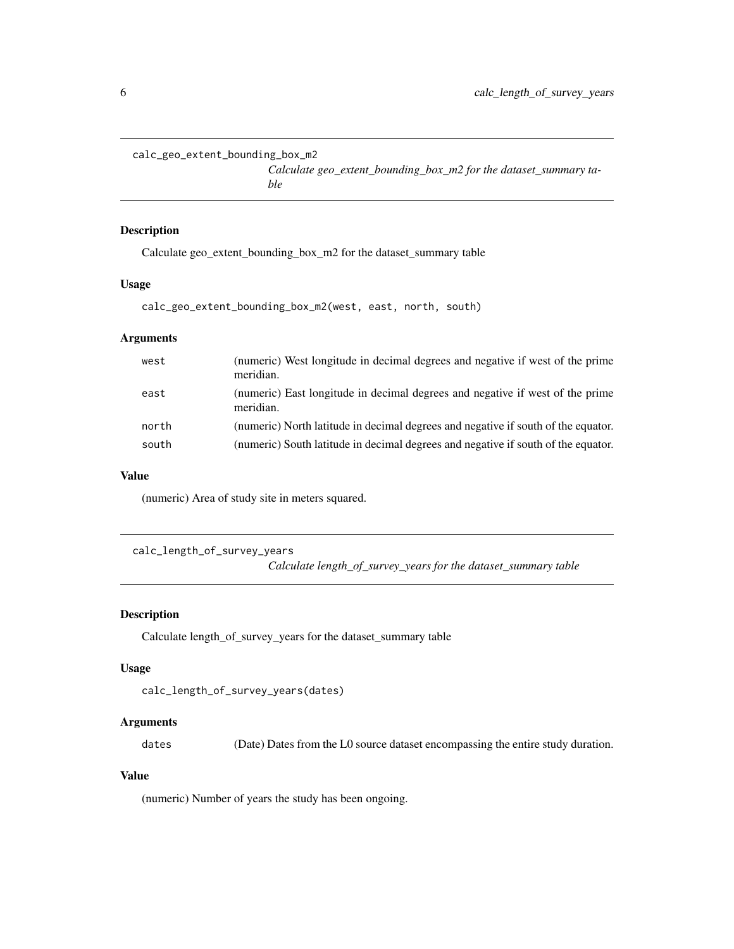```
calc_geo_extent_bounding_box_m2
```
*Calculate geo\_extent\_bounding\_box\_m2 for the dataset\_summary table*

# Description

Calculate geo\_extent\_bounding\_box\_m2 for the dataset\_summary table

#### Usage

```
calc_geo_extent_bounding_box_m2(west, east, north, south)
```
# Arguments

| west  | (numeric) West longitude in decimal degrees and negative if west of the prime<br>meridian. |
|-------|--------------------------------------------------------------------------------------------|
| east  | (numeric) East longitude in decimal degrees and negative if west of the prime<br>meridian. |
| north | (numeric) North latitude in decimal degrees and negative if south of the equator.          |
| south | (numeric) South latitude in decimal degrees and negative if south of the equator.          |

# Value

(numeric) Area of study site in meters squared.

calc\_length\_of\_survey\_years *Calculate length\_of\_survey\_years for the dataset\_summary table*

# Description

Calculate length\_of\_survey\_years for the dataset\_summary table

# Usage

```
calc_length_of_survey_years(dates)
```
# Arguments

dates (Date) Dates from the L0 source dataset encompassing the entire study duration.

# Value

(numeric) Number of years the study has been ongoing.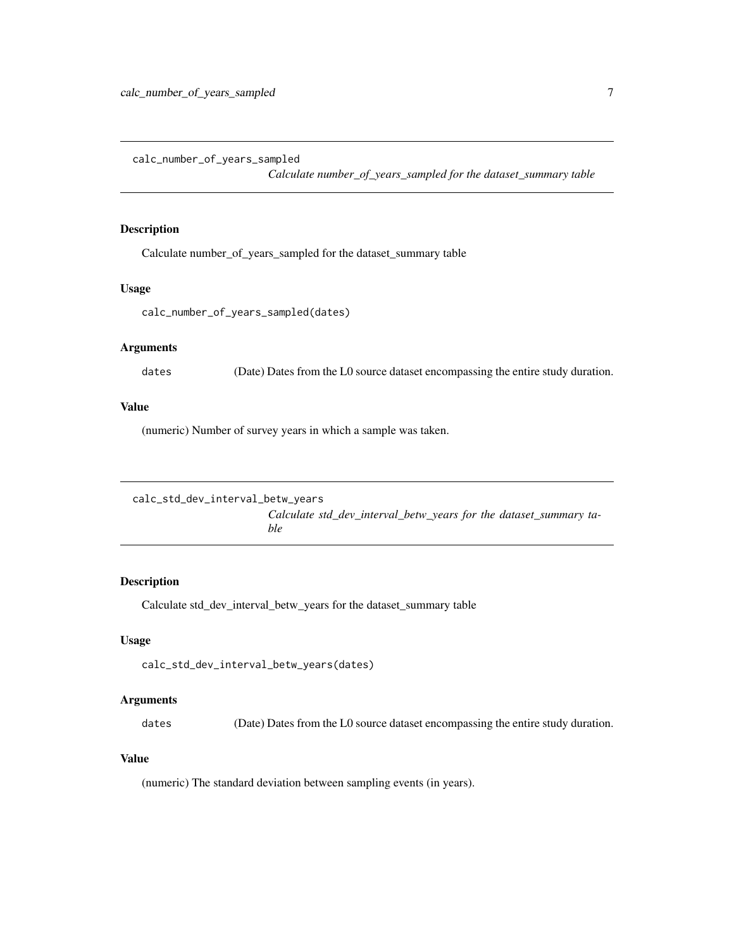<span id="page-6-0"></span>calc\_number\_of\_years\_sampled

*Calculate number\_of\_years\_sampled for the dataset\_summary table*

# Description

Calculate number\_of\_years\_sampled for the dataset\_summary table

#### Usage

calc\_number\_of\_years\_sampled(dates)

#### Arguments

dates (Date) Dates from the L0 source dataset encompassing the entire study duration.

## Value

(numeric) Number of survey years in which a sample was taken.

```
calc_std_dev_interval_betw_years
                         Calculate std_dev_interval_betw_years for the dataset_summary ta-
                         ble
```
# Description

Calculate std\_dev\_interval\_betw\_years for the dataset\_summary table

# Usage

```
calc_std_dev_interval_betw_years(dates)
```
# Arguments

dates (Date) Dates from the L0 source dataset encompassing the entire study duration.

# Value

(numeric) The standard deviation between sampling events (in years).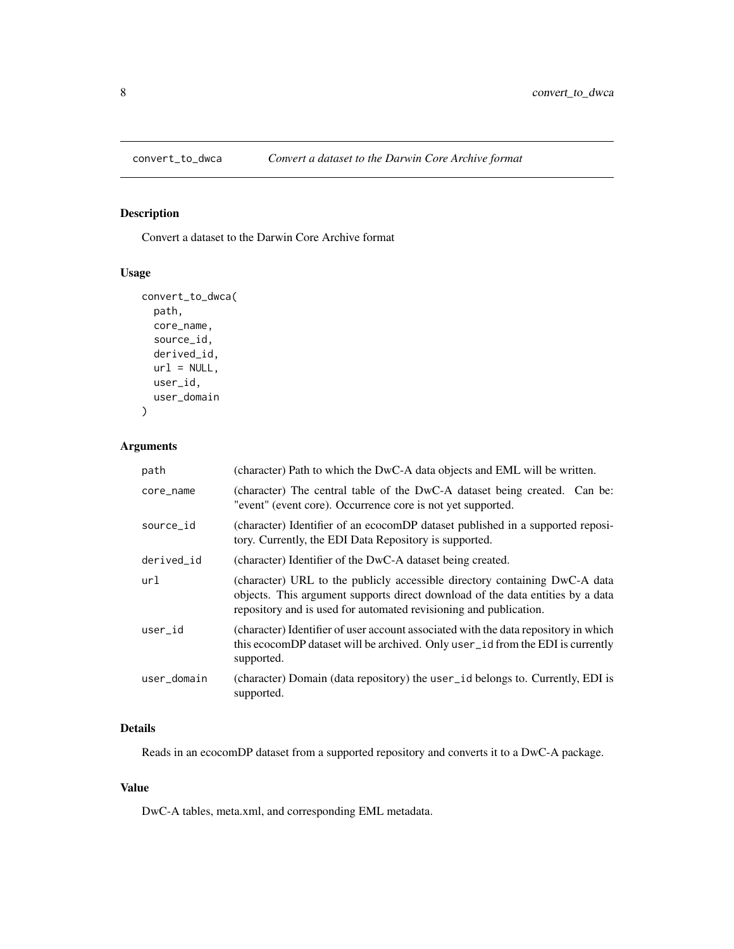<span id="page-7-0"></span>

# Description

Convert a dataset to the Darwin Core Archive format

# Usage

```
convert_to_dwca(
 path,
 core_name,
 source_id,
  derived_id,
 url = NULL,user_id,
 user_domain
)
```
# Arguments

| path        | (character) Path to which the DwC-A data objects and EML will be written.                                                                                                                                                         |
|-------------|-----------------------------------------------------------------------------------------------------------------------------------------------------------------------------------------------------------------------------------|
| core_name   | (character) The central table of the DwC-A dataset being created. Can be:<br>"event" (event core). Occurrence core is not yet supported.                                                                                          |
| source_id   | (character) Identifier of an ecocomDP dataset published in a supported reposi-<br>tory. Currently, the EDI Data Repository is supported.                                                                                          |
| derived_id  | (character) Identifier of the DwC-A dataset being created.                                                                                                                                                                        |
| url         | (character) URL to the publicly accessible directory containing DwC-A data<br>objects. This argument supports direct download of the data entities by a data<br>repository and is used for automated revisioning and publication. |
| user_id     | (character) Identifier of user account associated with the data repository in which<br>this ecocomDP dataset will be archived. Only user_id from the EDI is currently<br>supported.                                               |
| user_domain | (character) Domain (data repository) the user_id belongs to. Currently, EDI is<br>supported.                                                                                                                                      |

# Details

Reads in an ecocomDP dataset from a supported repository and converts it to a DwC-A package.

# Value

DwC-A tables, meta.xml, and corresponding EML metadata.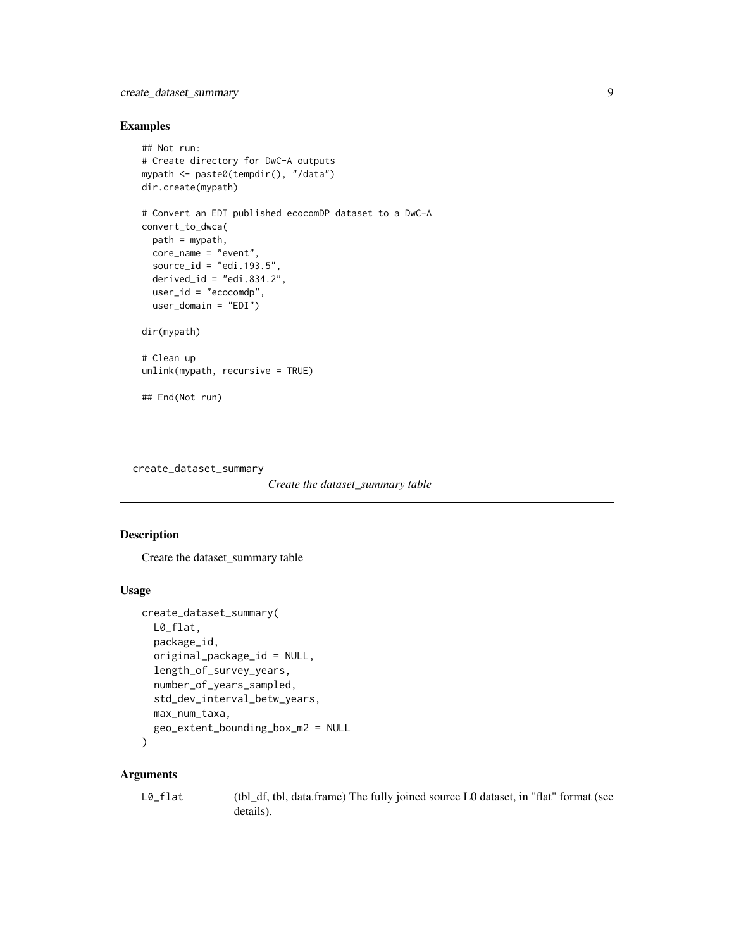# <span id="page-8-0"></span>create\_dataset\_summary 9

# Examples

```
## Not run:
# Create directory for DwC-A outputs
mypath <- paste0(tempdir(), "/data")
dir.create(mypath)
# Convert an EDI published ecocomDP dataset to a DwC-A
convert_to_dwca(
  path = mypath,
  core_name = "event",
  source_id = "edi.193.5",
  derived_id = "edi.834.2",user_id = "ecocomdp",
 user_domain = "EDI")
dir(mypath)
# Clean up
unlink(mypath, recursive = TRUE)
## End(Not run)
```
create\_dataset\_summary

```
Create the dataset_summary table
```
# Description

Create the dataset\_summary table

# Usage

```
create_dataset_summary(
 L0_flat,
 package_id,
  original_package_id = NULL,
  length_of_survey_years,
  number_of_years_sampled,
  std_dev_interval_betw_years,
 max_num_taxa,
  geo_extent_bounding_box_m2 = NULL
)
```
# Arguments

| L0_flat | (tbl_df, tbl, data.frame) The fully joined source L0 dataset, in "flat" format (see |
|---------|-------------------------------------------------------------------------------------|
|         | details).                                                                           |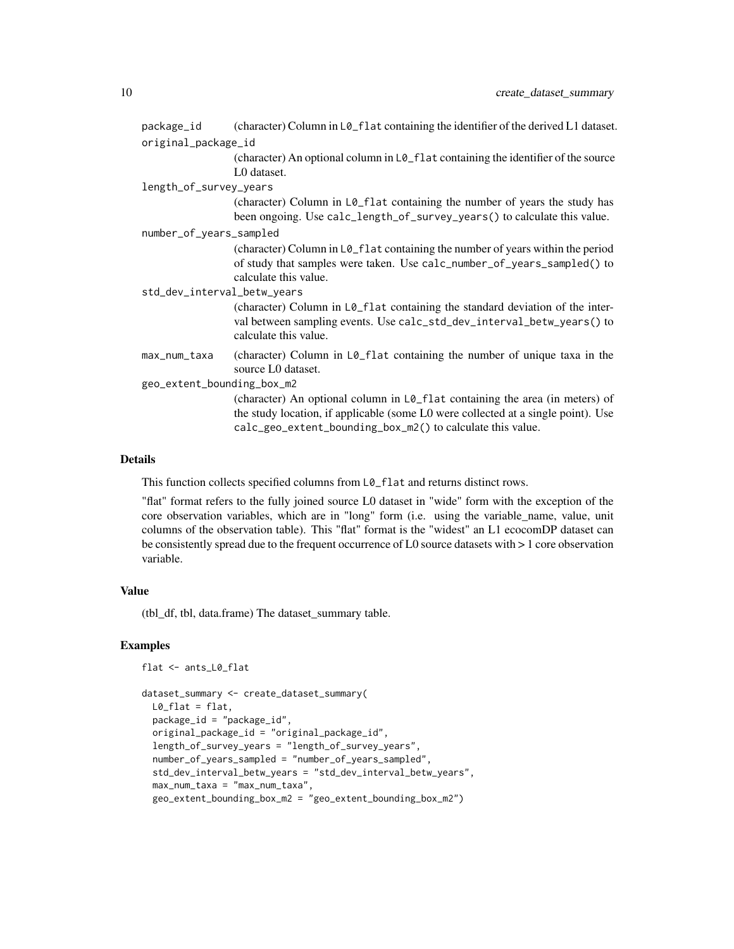| package_id                  | (character) Column in L0_f1at containing the identifier of the derived L1 dataset.                                                                                                                                              |  |  |  |
|-----------------------------|---------------------------------------------------------------------------------------------------------------------------------------------------------------------------------------------------------------------------------|--|--|--|
| original_package_id         |                                                                                                                                                                                                                                 |  |  |  |
|                             | (character) An optional column in L0_flat containing the identifier of the source<br>L0 dataset.                                                                                                                                |  |  |  |
| length_of_survey_years      |                                                                                                                                                                                                                                 |  |  |  |
|                             | (character) Column in L0_flat containing the number of years the study has<br>been ongoing. Use calc_length_of_survey_years() to calculate this value.                                                                          |  |  |  |
| number_of_years_sampled     |                                                                                                                                                                                                                                 |  |  |  |
|                             | (character) Column in L0_flat containing the number of years within the period<br>of study that samples were taken. Use calc_number_of_years_sampled() to<br>calculate this value.                                              |  |  |  |
| std_dev_interval_betw_years |                                                                                                                                                                                                                                 |  |  |  |
|                             | (character) Column in L0_flat containing the standard deviation of the inter-<br>val between sampling events. Use calc_std_dev_interval_betw_years() to<br>calculate this value.                                                |  |  |  |
| max_num_taxa                | (character) Column in LØ_flat containing the number of unique taxa in the<br>source L0 dataset.                                                                                                                                 |  |  |  |
| geo_extent_bounding_box_m2  |                                                                                                                                                                                                                                 |  |  |  |
|                             | (character) An optional column in L0_flat containing the area (in meters) of<br>the study location, if applicable (some L0 were collected at a single point). Use<br>calc_geo_extent_bounding_box_m2() to calculate this value. |  |  |  |

# Details

This function collects specified columns from L0\_flat and returns distinct rows.

"flat" format refers to the fully joined source L0 dataset in "wide" form with the exception of the core observation variables, which are in "long" form (i.e. using the variable\_name, value, unit columns of the observation table). This "flat" format is the "widest" an L1 ecocomDP dataset can be consistently spread due to the frequent occurrence of L0 source datasets with > 1 core observation variable.

## Value

(tbl\_df, tbl, data.frame) The dataset\_summary table.

# Examples

flat <- ants\_L0\_flat

```
dataset_summary <- create_dataset_summary(
 L0_flat = flat,
 package_id = "package_id",
 original_package_id = "original_package_id",
 length_of_survey_years = "length_of_survey_years",
 number_of_years_sampled = "number_of_years_sampled",
 std_dev_interval_betw_years = "std_dev_interval_betw_years",
 max_num_taxa = "max_num_taxa",
 geo_extent_bounding_box_m2 = "geo_extent_bounding_box_m2")
```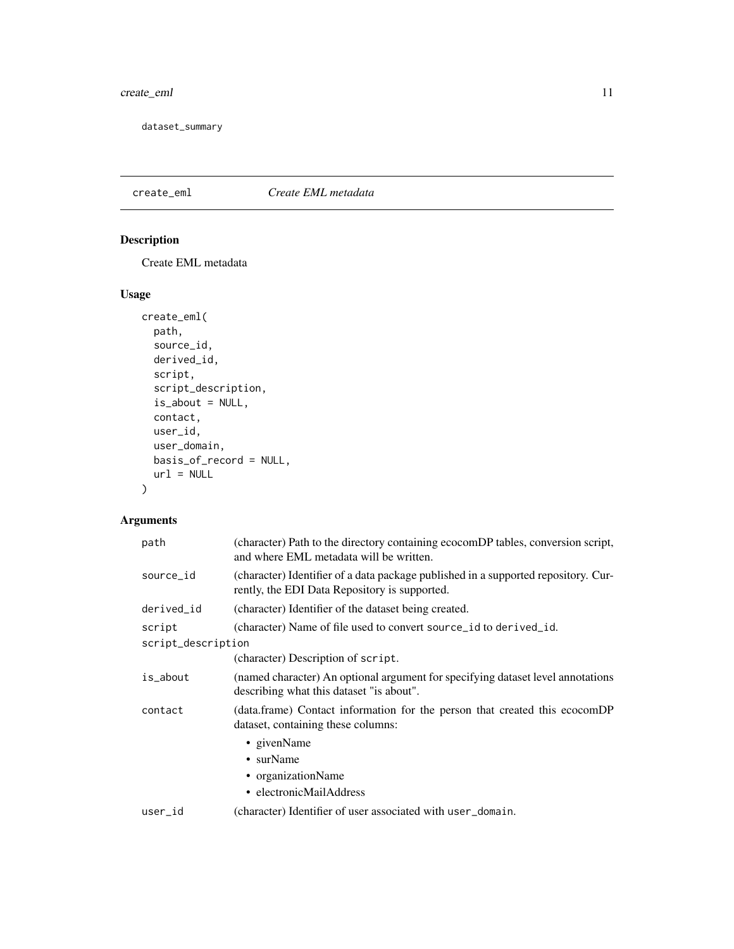# <span id="page-10-0"></span>create\_eml 11

dataset\_summary

# create\_eml *Create EML metadata*

# Description

Create EML metadata

# Usage

```
create_eml(
  path,
  source_id,
  derived_id,
  script,
  script_description,
  is_about = NULL,
  contact,
  user_id,
  user_domain,
  basis_of_record = NULL,
  url = NULL)
```
# Arguments

| path               | (character) Path to the directory containing ecocomDP tables, conversion script,<br>and where EML metadata will be written.         |  |  |  |
|--------------------|-------------------------------------------------------------------------------------------------------------------------------------|--|--|--|
| source_id          | (character) Identifier of a data package published in a supported repository. Cur-<br>rently, the EDI Data Repository is supported. |  |  |  |
| derived_id         | (character) Identifier of the dataset being created.                                                                                |  |  |  |
| script             | (character) Name of file used to convert source_id to derived_id.                                                                   |  |  |  |
| script_description |                                                                                                                                     |  |  |  |
|                    | (character) Description of script.                                                                                                  |  |  |  |
| is_about           | (named character) An optional argument for specifying dataset level annotations<br>describing what this dataset "is about".         |  |  |  |
| contact            | (data.frame) Contact information for the person that created this ecocomDP<br>dataset, containing these columns:                    |  |  |  |
|                    | • givenName                                                                                                                         |  |  |  |
|                    | • surName                                                                                                                           |  |  |  |
|                    | • organizationName                                                                                                                  |  |  |  |
|                    | • electronicMailAddress                                                                                                             |  |  |  |
| user_id            | (character) Identifier of user associated with user_domain.                                                                         |  |  |  |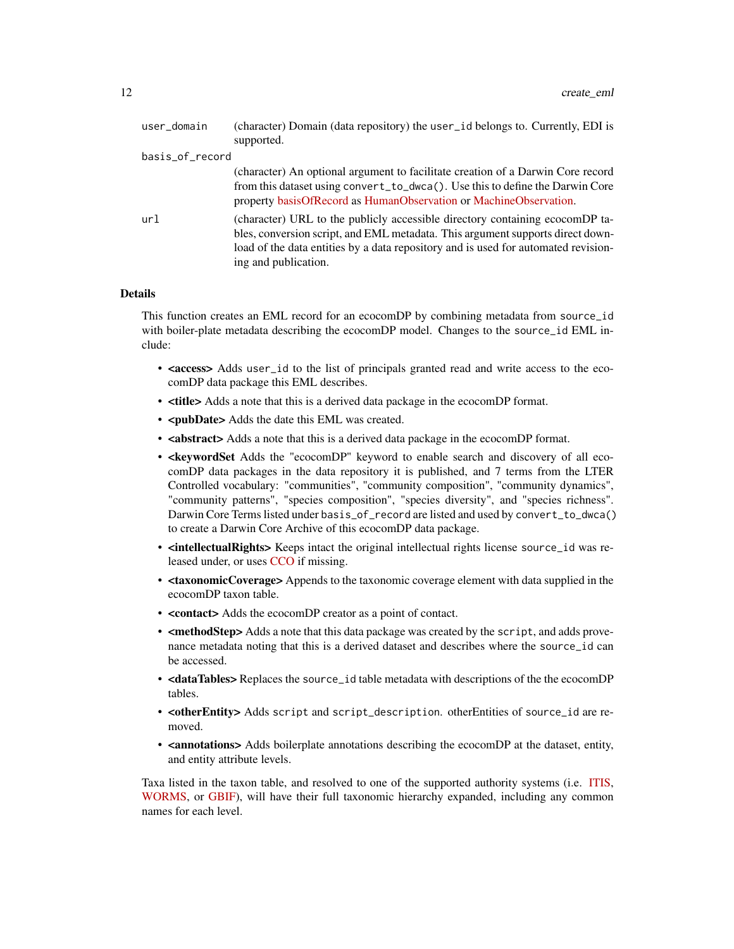| user_domain     | (character) Domain (data repository) the user_id belongs to. Currently, EDI is<br>supported.                                                                                                                                                                                 |
|-----------------|------------------------------------------------------------------------------------------------------------------------------------------------------------------------------------------------------------------------------------------------------------------------------|
| basis_of_record |                                                                                                                                                                                                                                                                              |
|                 | (character) An optional argument to facilitate creation of a Darwin Core record<br>from this dataset using convert_to_dwca(). Use this to define the Darwin Core<br>property basisOfRecord as HumanObservation or MachineObservation.                                        |
| url             | (character) URL to the publicly accessible directory containing ecocomDP ta-<br>bles, conversion script, and EML metadata. This argument supports direct down-<br>load of the data entities by a data repository and is used for automated revision-<br>ing and publication. |

#### Details

This function creates an EML record for an ecocomDP by combining metadata from source\_id with boiler-plate metadata describing the ecocomDP model. Changes to the source\_id EML include:

- <access> Adds user\_id to the list of principals granted read and write access to the ecocomDP data package this EML describes.
- <title> Adds a note that this is a derived data package in the ecocomDP format.
- <**pubDate>** Adds the date this EML was created.
- <abstract> Adds a note that this is a derived data package in the ecocomDP format.
- <**keywordSet** Adds the "ecocomDP" keyword to enable search and discovery of all ecocomDP data packages in the data repository it is published, and 7 terms from the LTER Controlled vocabulary: "communities", "community composition", "community dynamics", "community patterns", "species composition", "species diversity", and "species richness". Darwin Core Terms listed under basis\_of\_record are listed and used by convert\_to\_dwca() to create a Darwin Core Archive of this ecocomDP data package.
- <intellectualRights> Keeps intact the original intellectual rights license source\_id was released under, or uses [CCO](https://creativecommons.org/publicdomain/zero/1.0/legalcode) if missing.
- <taxonomicCoverage> Appends to the taxonomic coverage element with data supplied in the ecocomDP taxon table.
- <contact> Adds the ecocomDP creator as a point of contact.
- <methodStep> Adds a note that this data package was created by the script, and adds provenance metadata noting that this is a derived dataset and describes where the source\_id can be accessed.
- <dataTables>Replaces the source\_id table metadata with descriptions of the the ecocomDP tables.
- < otherEntity > Adds script and script\_description. otherEntities of source\_id are removed.
- <annotations> Adds boilerplate annotations describing the ecocomDP at the dataset, entity, and entity attribute levels.

Taxa listed in the taxon table, and resolved to one of the supported authority systems (i.e. [ITIS,](https://www.itis.gov/) [WORMS,](https://www.marinespecies.org/) or [GBIF\)](https://gbif.org), will have their full taxonomic hierarchy expanded, including any common names for each level.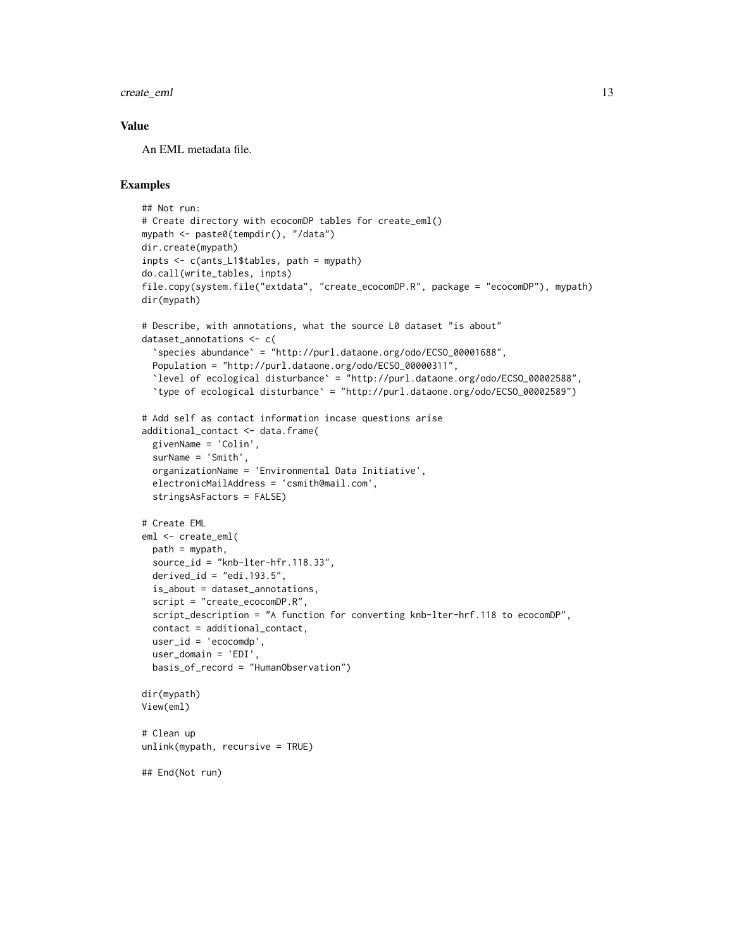create\_eml 13

## Value

An EML metadata file.

# Examples

```
## Not run:
# Create directory with ecocomDP tables for create_eml()
mypath <- paste0(tempdir(), "/data")
dir.create(mypath)
inpts <- c(ants_L1$tables, path = mypath)
do.call(write_tables, inpts)
file.copy(system.file("extdata", "create_ecocomDP.R", package = "ecocomDP"), mypath)
dir(mypath)
# Describe, with annotations, what the source L0 dataset "is about"
dataset_annotations <- c(
  `species abundance` = "http://purl.dataone.org/odo/ECSO_00001688",
  Population = "http://purl.dataone.org/odo/ECSO_00000311",
  `level of ecological disturbance` = "http://purl.dataone.org/odo/ECSO_00002588",
  `type of ecological disturbance` = "http://purl.dataone.org/odo/ECSO_00002589")
# Add self as contact information incase questions arise
additional_contact <- data.frame(
  givenName = 'Colin',
  surName = 'Smith',
  organizationName = 'Environmental Data Initiative',
  electronicMailAddress = 'csmith@mail.com',
  stringsAsFactors = FALSE)
# Create EML
eml <- create_eml(
  path = mypath,
  source_id = "knb-lter-hfr.118.33",
  derived_id = "edi.193.5",is_about = dataset_annotations,
  script = "create_ecocomDP.R",
  script_description = "A function for converting knb-lter-hrf.118 to ecocomDP",
  contact = additional_contact,
  user_id = 'ecocomdp',user_domain = 'EDI',
  basis_of_record = "HumanObservation")
dir(mypath)
View(eml)
# Clean up
unlink(mypath, recursive = TRUE)
## End(Not run)
```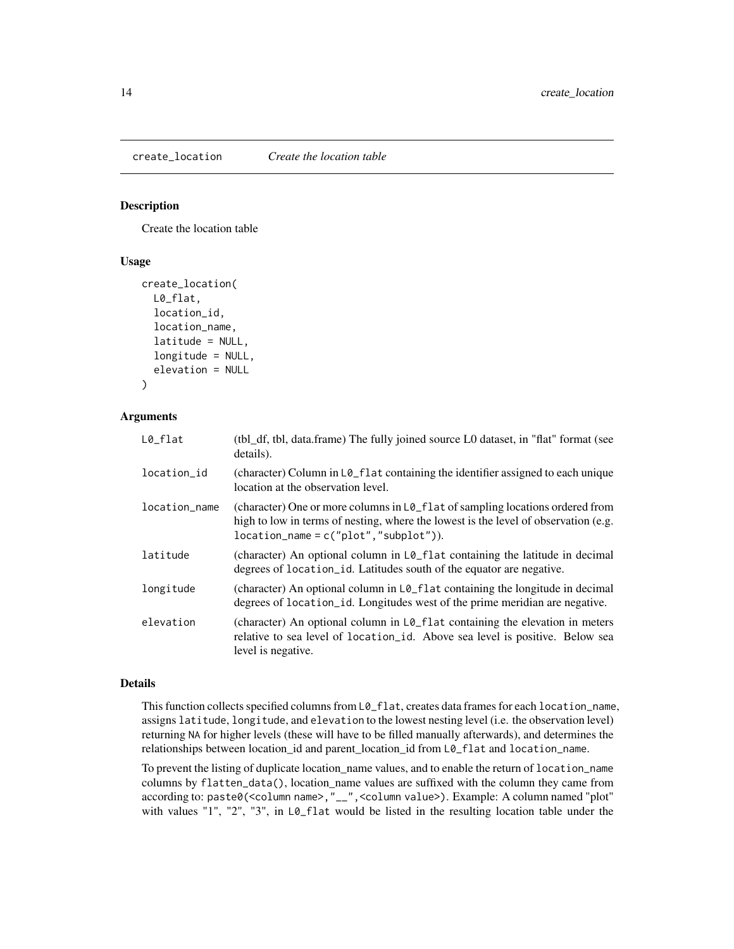#### <span id="page-13-0"></span>Description

Create the location table

#### Usage

```
create_location(
 L0_flat,
  location_id,
  location_name,
  latitude = NULL,
  longitude = NULL,
  elevation = NULL
)
```
#### Arguments

| $L0_f$ lat    | (tbl_df, tbl, data.frame) The fully joined source L0 dataset, in "flat" format (see<br>details).                                                                                                                              |
|---------------|-------------------------------------------------------------------------------------------------------------------------------------------------------------------------------------------------------------------------------|
| location_id   | (character) Column in $L\mathcal{O}_r$ at containing the identifier assigned to each unique<br>location at the observation level.                                                                                             |
| location_name | (character) One or more columns in $L\mathcal{O}_r$ flat of sampling locations ordered from<br>high to low in terms of nesting, where the lowest is the level of observation (e.g.<br>$location_name = c("plot", "subplot"),$ |
| latitude      | (character) An optional column in $L\varphi_{\text{r}}$ flat containing the latitude in decimal<br>degrees of location_id. Latitudes south of the equator are negative.                                                       |
| longitude     | (character) An optional column in L0_f1at containing the longitude in decimal<br>degrees of location_id. Longitudes west of the prime meridian are negative.                                                                  |
| elevation     | (character) An optional column in $L\mathcal{O}_{\mathcal{L}}f$ at containing the elevation in meters<br>relative to sea level of location_id. Above sea level is positive. Below sea<br>level is negative.                   |

#### Details

This function collects specified columns from  $L\mathcal{O}_r$  flat, creates data frames for each location\_name, assigns latitude, longitude, and elevation to the lowest nesting level (i.e. the observation level) returning NA for higher levels (these will have to be filled manually afterwards), and determines the relationships between location\_id and parent\_location\_id from L0\_flat and location\_name.

To prevent the listing of duplicate location\_name values, and to enable the return of location\_name columns by flatten\_data(), location\_name values are suffixed with the column they came from according to: paste0(<column name>,"\_\_",<column value>). Example: A column named "plot" with values "1", "2", "3", in LØ\_flat would be listed in the resulting location table under the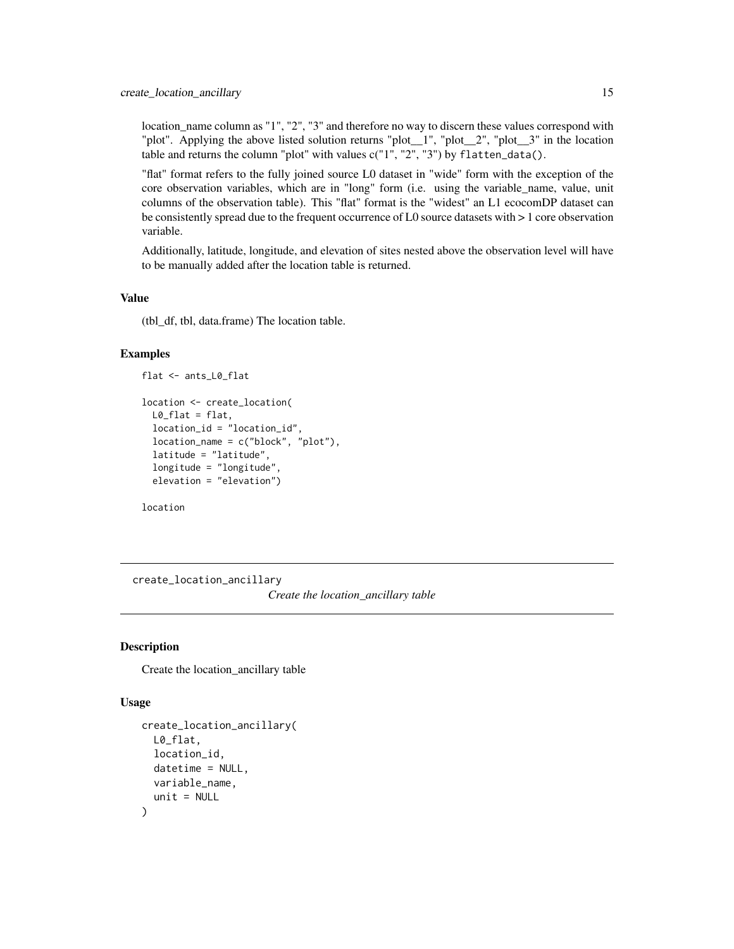<span id="page-14-0"></span>location\_name column as "1", "2", "3" and therefore no way to discern these values correspond with "plot". Applying the above listed solution returns "plot\_\_1", "plot\_\_2", "plot\_\_3" in the location table and returns the column "plot" with values c("1", "2", "3") by flatten\_data().

"flat" format refers to the fully joined source L0 dataset in "wide" form with the exception of the core observation variables, which are in "long" form (i.e. using the variable\_name, value, unit columns of the observation table). This "flat" format is the "widest" an L1 ecocomDP dataset can be consistently spread due to the frequent occurrence of L0 source datasets with > 1 core observation variable.

Additionally, latitude, longitude, and elevation of sites nested above the observation level will have to be manually added after the location table is returned.

# Value

(tbl\_df, tbl, data.frame) The location table.

#### Examples

```
flat <- ants_L0_flat
```

```
location <- create_location(
 L0_flat = flat,
 location_id = "location_id",
 location_name = c("block", "plot"),
 latitude = "latitude",
 longitude = "longitude",
 elevation = "elevation")
```
location

create\_location\_ancillary *Create the location\_ancillary table*

# **Description**

Create the location\_ancillary table

#### Usage

```
create_location_ancillary(
 L0_flat,
  location_id,
  datetime = NULL,
  variable_name,
  unit = NULL)
```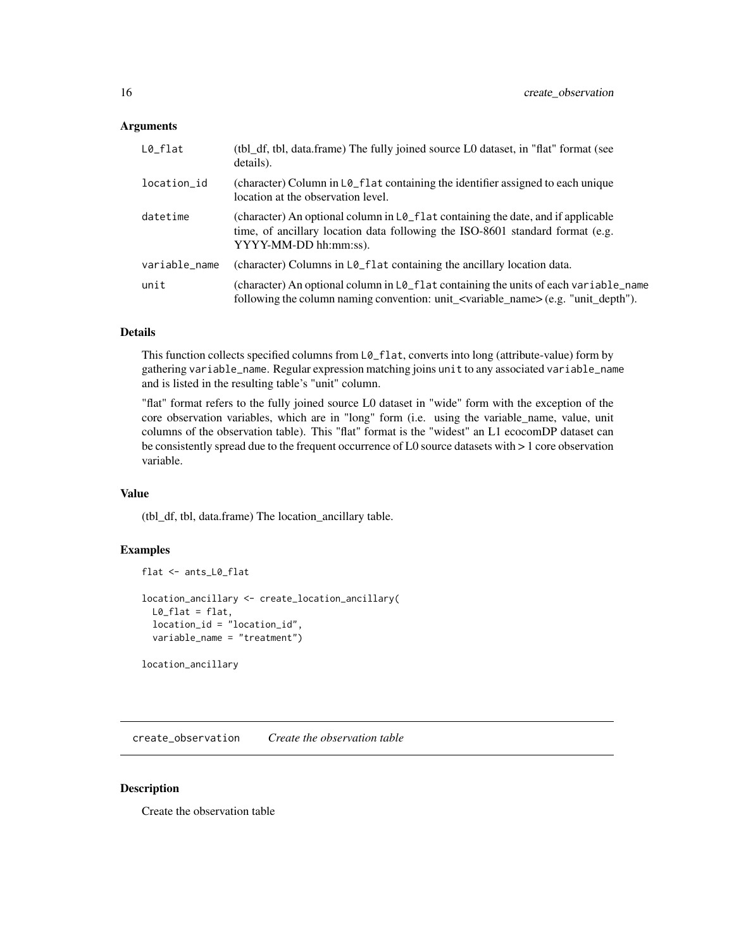#### <span id="page-15-0"></span>**Arguments**

| $L0$ _flat    | (tbl_df, tbl, data.frame) The fully joined source L0 dataset, in "flat" format (see<br>details).                                                                                           |
|---------------|--------------------------------------------------------------------------------------------------------------------------------------------------------------------------------------------|
| location_id   | (character) Column in $L\mathfrak{g}_-f$ lat containing the identifier assigned to each unique<br>location at the observation level.                                                       |
| datetime      | (character) An optional column in L0_flat containing the date, and if applicable<br>time, of ancillary location data following the ISO-8601 standard format (e.g.<br>YYYY-MM-DD hh:mm:ss). |
| variable_name | (character) Columns in L0_flat containing the ancillary location data.                                                                                                                     |
| unit          | (character) An optional column in L0_flat containing the units of each variable_name<br>following the column naming convention: unit_ <variable_name>(e.g. "unit_depth").</variable_name>  |

#### Details

This function collects specified columns from L0\_flat, converts into long (attribute-value) form by gathering variable\_name. Regular expression matching joins unit to any associated variable\_name and is listed in the resulting table's "unit" column.

"flat" format refers to the fully joined source L0 dataset in "wide" form with the exception of the core observation variables, which are in "long" form (i.e. using the variable\_name, value, unit columns of the observation table). This "flat" format is the "widest" an L1 ecocomDP dataset can be consistently spread due to the frequent occurrence of L0 source datasets with > 1 core observation variable.

# Value

(tbl\_df, tbl, data.frame) The location\_ancillary table.

#### Examples

```
flat <- ants_L0_flat
location_ancillary <- create_location_ancillary(
 L0_flat = flat,
 location_id = "location_id",
 variable_name = "treatment")
```
location\_ancillary

create\_observation *Create the observation table*

#### Description

Create the observation table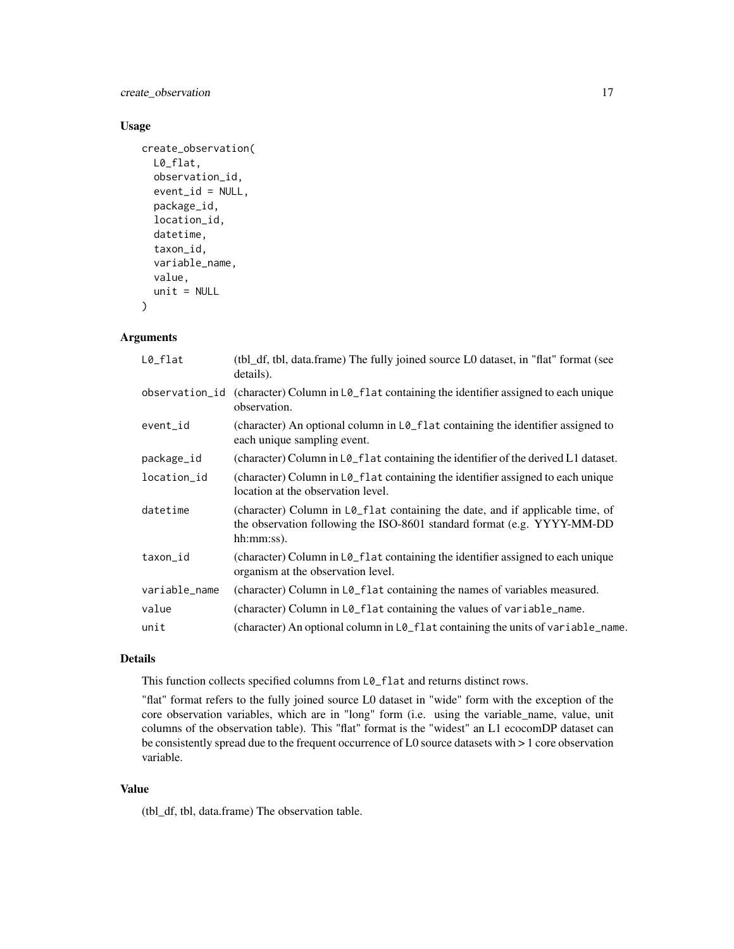create\_observation 17

# Usage

```
create_observation(
 L0_flat,
  observation_id,
  event_id = NULL,
  package_id,
  location_id,
  datetime,
  taxon_id,
  variable_name,
  value,
  unit = NULL
```
)

# Arguments

| $L0$ _flat     | (tbl_df, tbl, data.frame) The fully joined source L0 dataset, in "flat" format (see<br>details).                                                                                          |
|----------------|-------------------------------------------------------------------------------------------------------------------------------------------------------------------------------------------|
| observation_id | (character) Column in L0_flat containing the identifier assigned to each unique<br>observation.                                                                                           |
| event_id       | (character) An optional column in L0_flat containing the identifier assigned to<br>each unique sampling event.                                                                            |
| package_id     | (character) Column in L0_flat containing the identifier of the derived L1 dataset.                                                                                                        |
| location_id    | (character) Column in L0_flat containing the identifier assigned to each unique<br>location at the observation level.                                                                     |
| datetime       | (character) Column in $L\varphi_{\text{r}}$ flat containing the date, and if applicable time, of<br>the observation following the ISO-8601 standard format (e.g. YYYY-MM-DD<br>hh:mm:ss). |
| taxon_id       | (character) Column in L0_flat containing the identifier assigned to each unique<br>organism at the observation level.                                                                     |
| variable_name  | (character) Column in L0_flat containing the names of variables measured.                                                                                                                 |
| value          | (character) Column in L0_flat containing the values of variable_name.                                                                                                                     |
| unit           | (character) An optional column in $L\mathcal{Q}_r$ flat containing the units of variable_name.                                                                                            |

# Details

This function collects specified columns from L0\_flat and returns distinct rows.

"flat" format refers to the fully joined source L0 dataset in "wide" form with the exception of the core observation variables, which are in "long" form (i.e. using the variable\_name, value, unit columns of the observation table). This "flat" format is the "widest" an L1 ecocomDP dataset can be consistently spread due to the frequent occurrence of L0 source datasets with > 1 core observation variable.

# Value

(tbl\_df, tbl, data.frame) The observation table.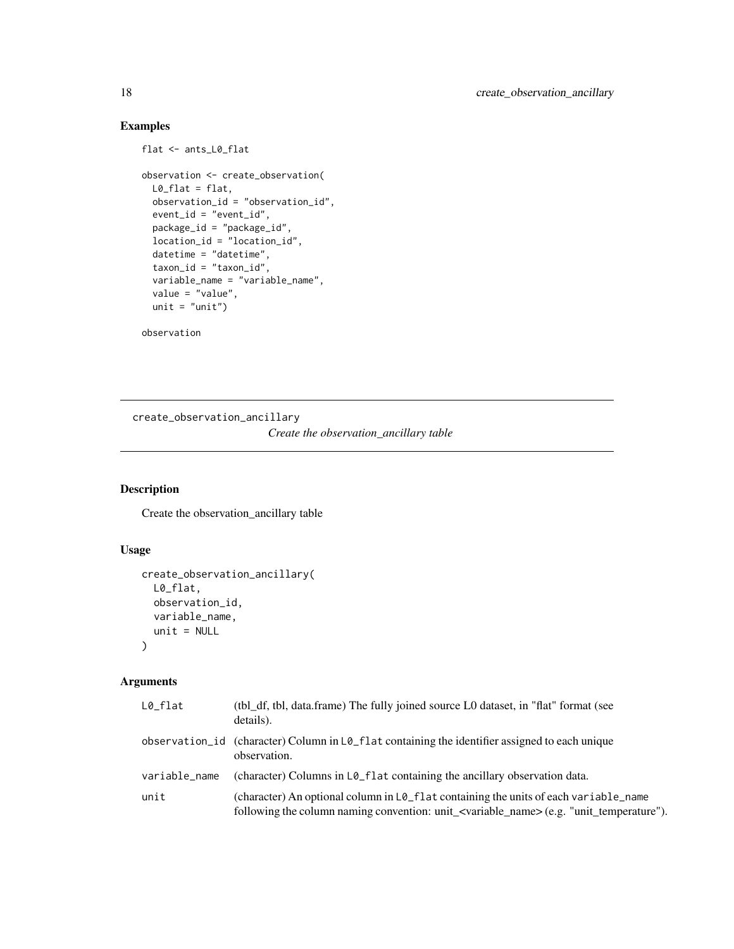# Examples

```
flat <- ants_L0_flat
observation <- create_observation(
  L0_{\text{-}}flat = flat,
  observation_id = "observation_id",
  event_id = "event_id",
  package_id = "package_id",
  location_id = "location_id",
 datetime = "datetime",
 taxon_id = "taxon_id",
 variable_name = "variable_name",
  value = "value",
 unit = "unit")
```
observation

create\_observation\_ancillary *Create the observation\_ancillary table*

# Description

Create the observation\_ancillary table

#### Usage

```
create_observation_ancillary(
 L0_flat,
 observation_id,
 variable_name,
 unit = NULL)
```
# Arguments

| $L0$ _flat    | (tbl_df, tbl, data.frame) The fully joined source L0 dataset, in "flat" format (see<br>details).                                                                                                 |
|---------------|--------------------------------------------------------------------------------------------------------------------------------------------------------------------------------------------------|
|               | observation $id$ (character) Column in $L\varphi_f$ at containing the identifier assigned to each unique<br>observation.                                                                         |
| variable_name | (character) Columns in $L\mathcal{O}_r$ flat containing the ancillary observation data.                                                                                                          |
| unit          | (character) An optional column in L0_flat containing the units of each variable_name<br>following the column naming convention: unit_ <variable_name> (e.g. "unit_temperature").</variable_name> |

<span id="page-17-0"></span>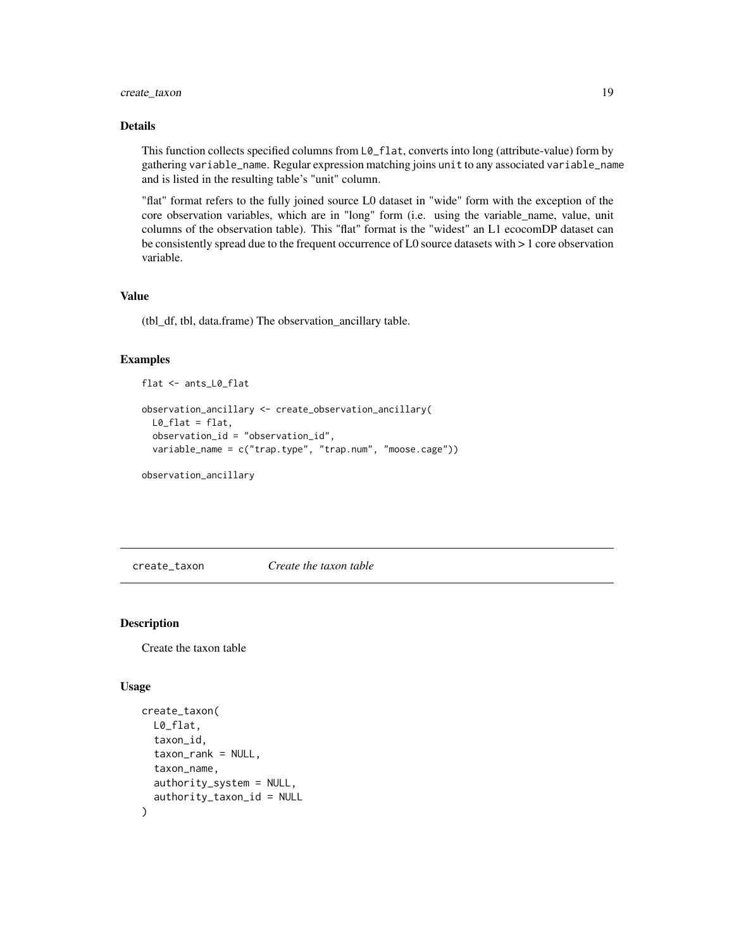# <span id="page-18-0"></span>create\_taxon 19

## Details

This function collects specified columns from  $L\vartheta$ \_flat, converts into long (attribute-value) form by gathering variable\_name. Regular expression matching joins unit to any associated variable\_name and is listed in the resulting table's "unit" column.

"flat" format refers to the fully joined source L0 dataset in "wide" form with the exception of the core observation variables, which are in "long" form (i.e. using the variable\_name, value, unit columns of the observation table). This "flat" format is the "widest" an L1 ecocomDP dataset can be consistently spread due to the frequent occurrence of L0 source datasets with > 1 core observation variable.

# Value

(tbl\_df, tbl, data.frame) The observation\_ancillary table.

#### Examples

```
flat <- ants_L0_flat
```

```
observation_ancillary <- create_observation_ancillary(
 L0_flat = flat,
 observation_id = "observation_id",
 variable_name = c("trap.type", "trap.num", "moose.cage"))
```
observation\_ancillary

create\_taxon *Create the taxon table*

#### Description

Create the taxon table

#### Usage

```
create_taxon(
 L0_flat,
  taxon_id,
  taxon_rank = NULL,
  taxon_name,
  authority_system = NULL,
  authority_taxon_id = NULL
)
```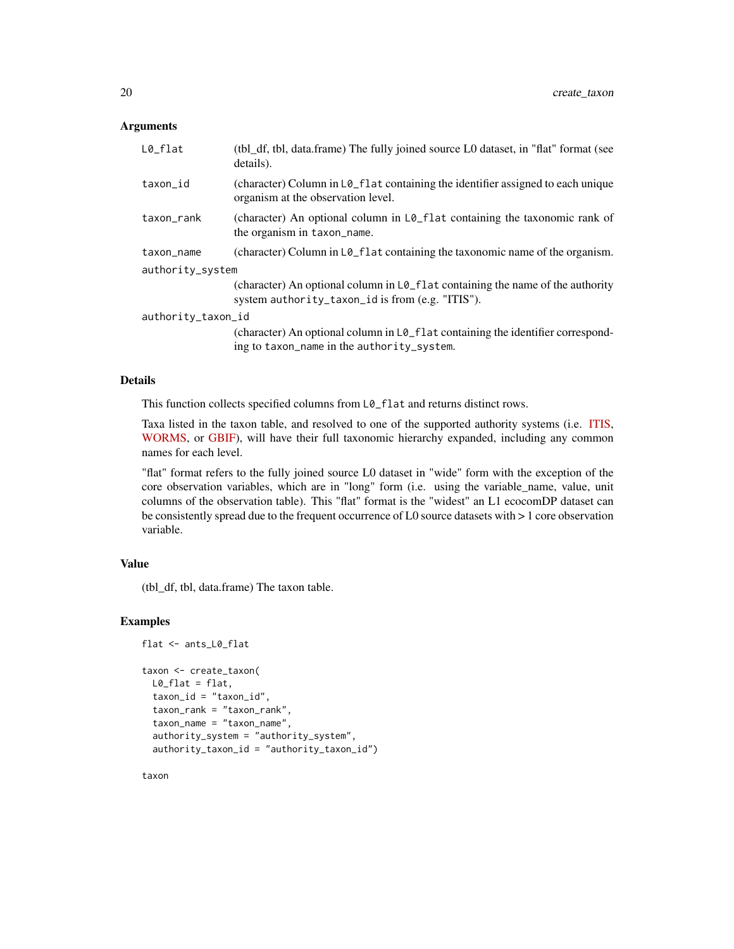#### **Arguments**

| $L0_f$ lat         | (tbl_df, tbl, data.frame) The fully joined source L0 dataset, in "flat" format (see<br>details).                                            |
|--------------------|---------------------------------------------------------------------------------------------------------------------------------------------|
| taxon_id           | (character) Column in L0_flat containing the identifier assigned to each unique<br>organism at the observation level.                       |
| taxon_rank         | (character) An optional column in $L\varphi_{\text{r}}$ flat containing the taxonomic rank of<br>the organism in taxon_name.                |
| taxon_name         | (character) Column in L0_flat containing the taxonomic name of the organism.                                                                |
| authority_system   |                                                                                                                                             |
|                    | (character) An optional column in L0_flat containing the name of the authority<br>system authority_taxon_id is from (e.g. "ITIS").          |
| authority_taxon_id |                                                                                                                                             |
|                    | (character) An optional column in $L\mathcal{O}_r$ flat containing the identifier correspond-<br>ing to taxon_name in the authority_system. |

#### Details

This function collects specified columns from  $L\mathfrak{o}_f$  and returns distinct rows.

Taxa listed in the taxon table, and resolved to one of the supported authority systems (i.e. [ITIS,](https://www.itis.gov/) [WORMS,](https://www.marinespecies.org/) or [GBIF\)](https://gbif.org), will have their full taxonomic hierarchy expanded, including any common names for each level.

"flat" format refers to the fully joined source L0 dataset in "wide" form with the exception of the core observation variables, which are in "long" form (i.e. using the variable\_name, value, unit columns of the observation table). This "flat" format is the "widest" an L1 ecocomDP dataset can be consistently spread due to the frequent occurrence of L0 source datasets with > 1 core observation variable.

# Value

(tbl\_df, tbl, data.frame) The taxon table.

# Examples

```
flat <- ants_L0_flat
taxon <- create_taxon(
 L0_{flat} = flat,
 taxon_id = "taxon_id",
 taxon_rank = "taxon_rank",
 taxon_name = "taxon_name",
 authority_system = "authority_system",
 authority_taxon_id = "authority_taxon_id")
```
taxon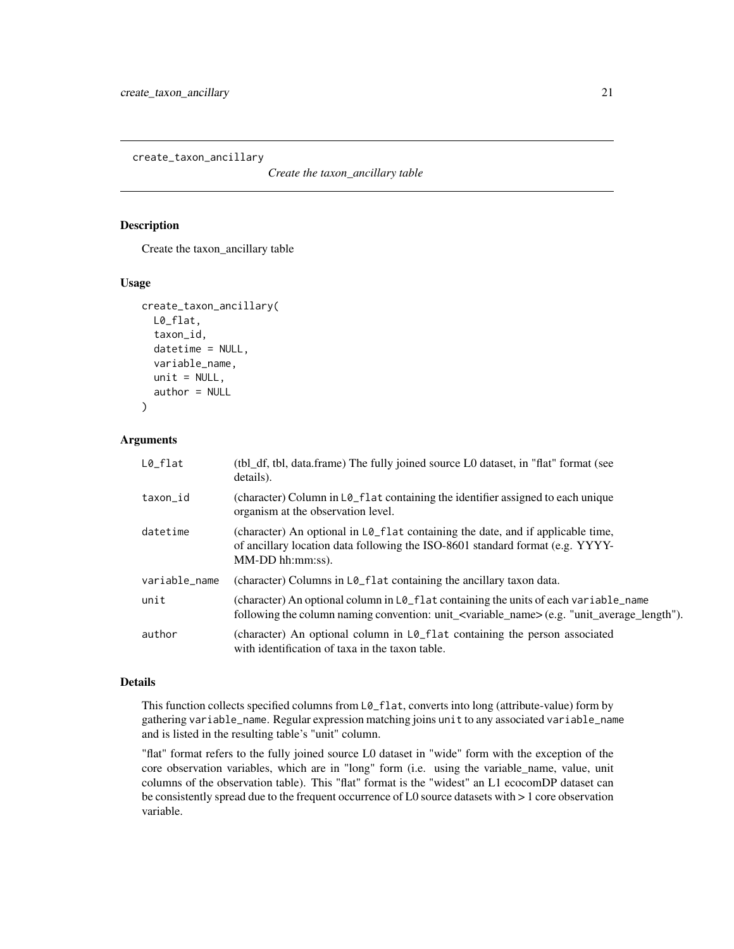<span id="page-20-0"></span>create\_taxon\_ancillary

*Create the taxon\_ancillary table*

# Description

Create the taxon\_ancillary table

# Usage

```
create_taxon_ancillary(
 L0_flat,
  taxon_id,
  datetime = NULL,
  variable_name,
  unit = NULL,author = NULL)
```
#### Arguments

| $L0_{I}$ flat | (tbl_df, tbl, data.frame) The fully joined source L0 dataset, in "flat" format (see<br>details).                                                                                                                 |
|---------------|------------------------------------------------------------------------------------------------------------------------------------------------------------------------------------------------------------------|
| taxon_id      | (character) Column in $L\theta$ flat containing the identifier assigned to each unique<br>organism at the observation level.                                                                                     |
| datetime      | (character) An optional in L0_flat containing the date, and if applicable time,<br>of ancillary location data following the ISO-8601 standard format (e.g. YYYY-<br>$MM-DD$ hh: $mm:ss$ ).                       |
| variable_name | (character) Columns in L0_flat containing the ancillary taxon data.                                                                                                                                              |
| unit          | (character) An optional column in $L\mathcal{O}_r$ flat containing the units of each variable name<br>following the column naming convention: unit_ <variable_name>(e.g. "unit_average_length").</variable_name> |
| author        | (character) An optional column in $L\mathcal{O}_{-}f$ at containing the person associated<br>with identification of taxa in the taxon table.                                                                     |

#### Details

This function collects specified columns from  $L\theta$ <sub>-flat</sub>, converts into long (attribute-value) form by gathering variable\_name. Regular expression matching joins unit to any associated variable\_name and is listed in the resulting table's "unit" column.

"flat" format refers to the fully joined source L0 dataset in "wide" form with the exception of the core observation variables, which are in "long" form (i.e. using the variable\_name, value, unit columns of the observation table). This "flat" format is the "widest" an L1 ecocomDP dataset can be consistently spread due to the frequent occurrence of L0 source datasets with > 1 core observation variable.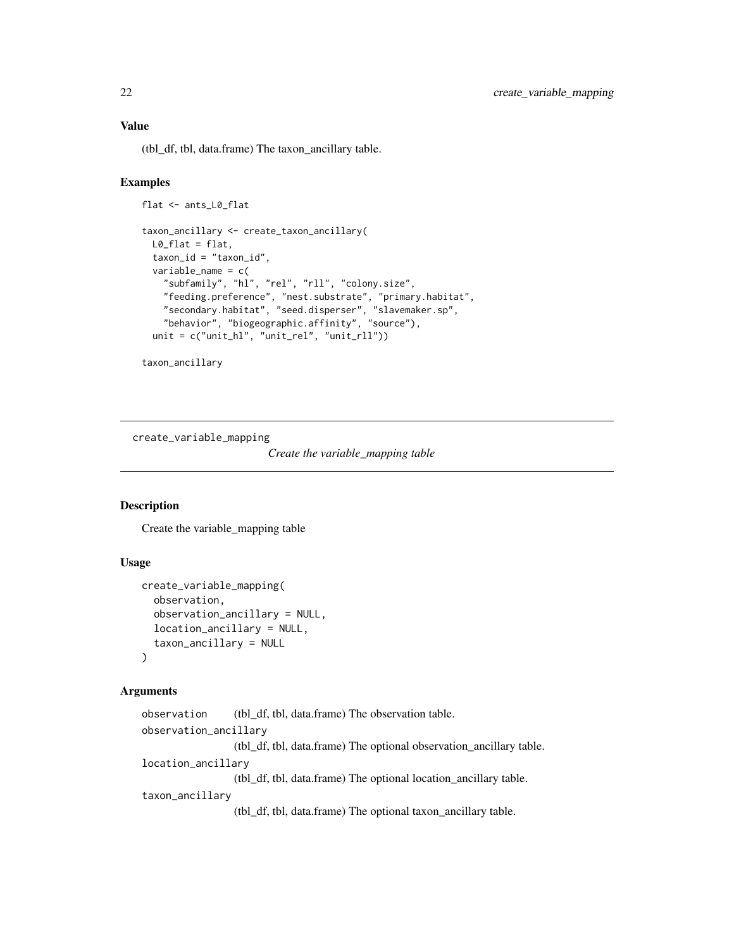# Value

(tbl\_df, tbl, data.frame) The taxon\_ancillary table.

# Examples

```
flat <- ants_L0_flat
taxon_ancillary <- create_taxon_ancillary(
 L0_flat = flat,
 taxon_id = "taxon_id",
 variable_name = c(
    "subfamily", "hl", "rel", "rll", "colony.size",
    "feeding.preference", "nest.substrate", "primary.habitat",
    "secondary.habitat", "seed.disperser", "slavemaker.sp",
    "behavior", "biogeographic.affinity", "source"),
 unit = c("unit_hl", "unit_rel", "unit_rll"))
```
taxon\_ancillary

create\_variable\_mapping

*Create the variable\_mapping table*

# Description

Create the variable\_mapping table

# Usage

```
create_variable_mapping(
  observation,
  observation_ancillary = NULL,
  location_ancillary = NULL,
  taxon_ancillary = NULL
)
```
# Arguments

```
observation (tbl_df, tbl, data.frame) The observation table.
observation_ancillary
                  (tbl_df, tbl, data.frame) The optional observation_ancillary table.
location_ancillary
                  (tbl_df, tbl, data.frame) The optional location_ancillary table.
taxon_ancillary
                  (tbl_df, tbl, data.frame) The optional taxon_ancillary table.
```
<span id="page-21-0"></span>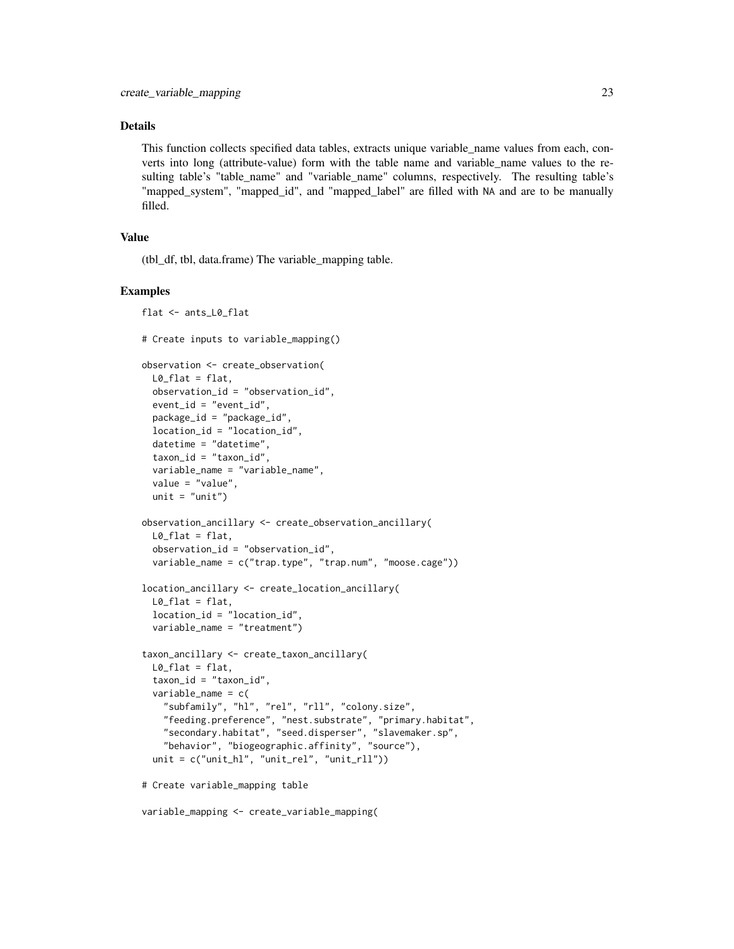#### Details

This function collects specified data tables, extracts unique variable\_name values from each, converts into long (attribute-value) form with the table name and variable\_name values to the resulting table's "table\_name" and "variable\_name" columns, respectively. The resulting table's "mapped\_system", "mapped\_id", and "mapped\_label" are filled with NA and are to be manually filled.

# Value

(tbl\_df, tbl, data.frame) The variable\_mapping table.

#### Examples

```
flat <- ants_L0_flat
# Create inputs to variable_mapping()
observation <- create_observation(
 L0_{\text{flat}} = flat,
 observation_id = "observation_id",
 event_id = "event_id",
 package_id = "package_id",
 location_id = "location_id",
 datetime = "datetime",
 taxon_id = "taxon_id",
 variable_name = "variable_name",
 value = "value",
 unit = "unit")
observation_ancillary <- create_observation_ancillary(
 L0_flat = flat,
 observation_id = "observation_id",
 variable_name = c("trap.type", "trap.num", "moose.cage"))
location_ancillary <- create_location_ancillary(
 L0_{flat} = flat,
 location_id = "location_id",
 variable_name = "treatment")
taxon_ancillary <- create_taxon_ancillary(
 L0_flat = flat,
 taxon_id = "taxon_id",
 variable_name = c(
    "subfamily", "hl", "rel", "rll", "colony.size",
    "feeding.preference", "nest.substrate", "primary.habitat",
    "secondary.habitat", "seed.disperser", "slavemaker.sp",
    "behavior", "biogeographic.affinity", "source"),
 unit = c("unit_hl", "unit_rel", "unit_rll"))
# Create variable_mapping table
```
variable\_mapping <- create\_variable\_mapping(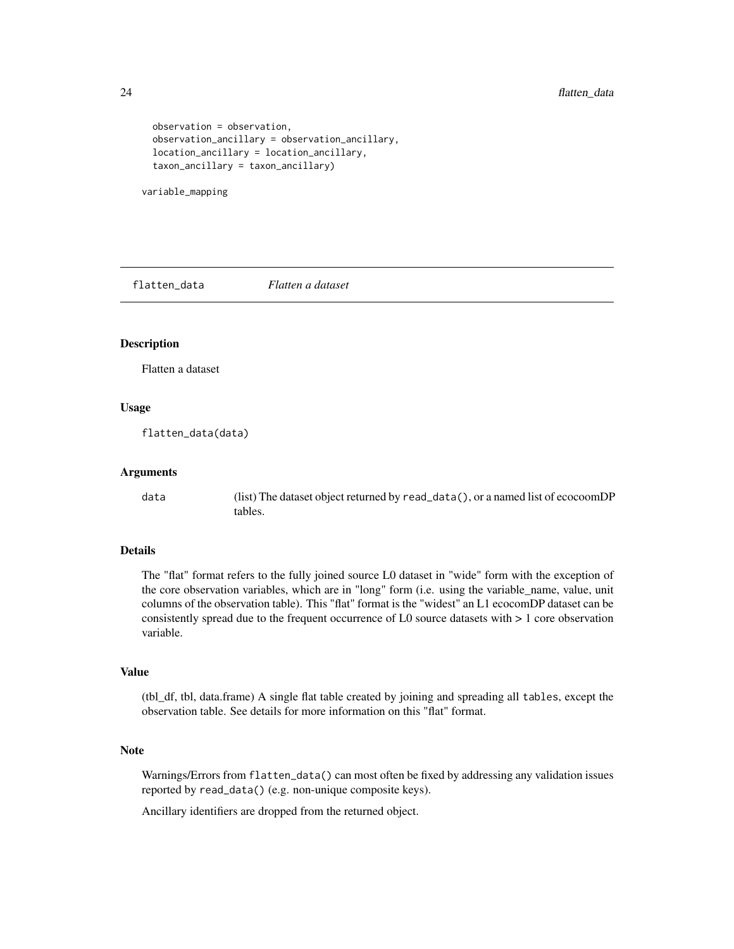```
observation = observation,
observation_ancillary = observation_ancillary,
location_ancillary = location_ancillary,
taxon_ancillary = taxon_ancillary)
```
variable\_mapping

flatten\_data *Flatten a dataset*

# Description

Flatten a dataset

# Usage

flatten\_data(data)

#### Arguments

data (list) The dataset object returned by read\_data(), or a named list of ecocoomDP tables.

#### Details

The "flat" format refers to the fully joined source L0 dataset in "wide" form with the exception of the core observation variables, which are in "long" form (i.e. using the variable\_name, value, unit columns of the observation table). This "flat" format is the "widest" an L1 ecocomDP dataset can be consistently spread due to the frequent occurrence of L0 source datasets with > 1 core observation variable.

#### Value

(tbl\_df, tbl, data.frame) A single flat table created by joining and spreading all tables, except the observation table. See details for more information on this "flat" format.

# Note

Warnings/Errors from flatten\_data() can most often be fixed by addressing any validation issues reported by read\_data() (e.g. non-unique composite keys).

Ancillary identifiers are dropped from the returned object.

<span id="page-23-0"></span>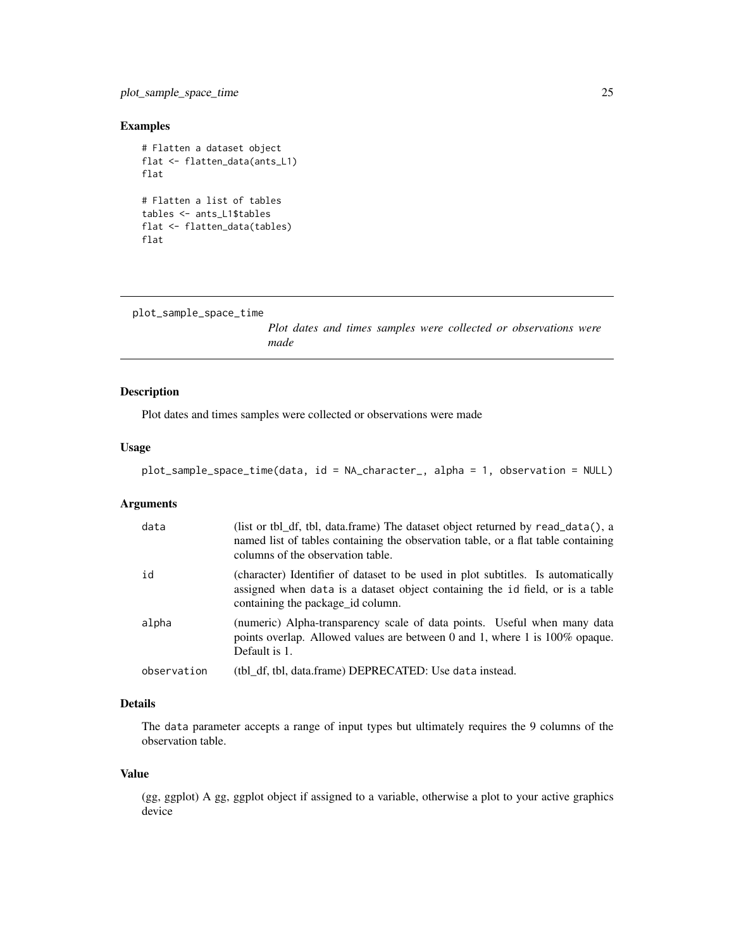# <span id="page-24-0"></span>plot\_sample\_space\_time 25

# Examples

```
# Flatten a dataset object
flat <- flatten_data(ants_L1)
flat
# Flatten a list of tables
tables <- ants_L1$tables
flat <- flatten_data(tables)
flat
```

```
plot_sample_space_time
```
*Plot dates and times samples were collected or observations were made*

# Description

Plot dates and times samples were collected or observations were made

#### Usage

```
plot_sample_space_time(data, id = NA_character_, alpha = 1, observation = NULL)
```
# Arguments

| data        | (list or tbl_df, tbl, data.frame) The dataset object returned by read_data(), a<br>named list of tables containing the observation table, or a flat table containing<br>columns of the observation table. |
|-------------|-----------------------------------------------------------------------------------------------------------------------------------------------------------------------------------------------------------|
| id          | (character) Identifier of dataset to be used in plot subtitles. Is automatically<br>assigned when data is a dataset object containing the id field, or is a table<br>containing the package id column.    |
| alpha       | (numeric) Alpha-transparency scale of data points. Useful when many data<br>points overlap. Allowed values are between 0 and 1, where 1 is $100\%$ opaque.<br>Default is 1.                               |
| observation | (tbl_df, tbl, data.frame) DEPRECATED: Use data instead.                                                                                                                                                   |

#### Details

The data parameter accepts a range of input types but ultimately requires the 9 columns of the observation table.

#### Value

(gg, ggplot) A gg, ggplot object if assigned to a variable, otherwise a plot to your active graphics device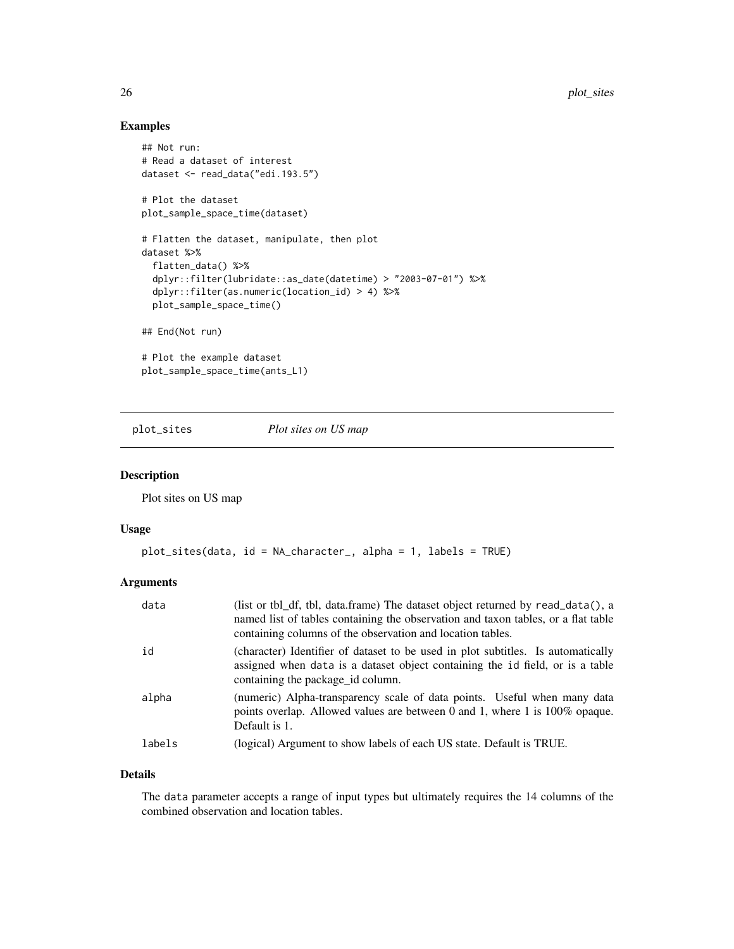# <span id="page-25-0"></span>Examples

```
## Not run:
# Read a dataset of interest
dataset <- read_data("edi.193.5")
# Plot the dataset
plot_sample_space_time(dataset)
# Flatten the dataset, manipulate, then plot
dataset %>%
  flatten_data() %>%
  dplyr::filter(lubridate::as_date(datetime) > "2003-07-01") %>%
  dplyr::filter(as.numeric(location_id) > 4) %>%
  plot_sample_space_time()
## End(Not run)
# Plot the example dataset
plot_sample_space_time(ants_L1)
```
plot\_sites *Plot sites on US map*

# Description

Plot sites on US map

#### Usage

```
plot_sites(data, id = NA_character_, alpha = 1, labels = TRUE)
```
# Arguments

| data   | (list or tbl_df, tbl, data.frame) The dataset object returned by read_data(), a<br>named list of tables containing the observation and taxon tables, or a flat table<br>containing columns of the observation and location tables. |
|--------|------------------------------------------------------------------------------------------------------------------------------------------------------------------------------------------------------------------------------------|
| id     | (character) Identifier of dataset to be used in plot subtitles. Is automatically<br>assigned when data is a dataset object containing the id field, or is a table<br>containing the package id column.                             |
| alpha  | (numeric) Alpha-transparency scale of data points. Useful when many data<br>points overlap. Allowed values are between 0 and 1, where 1 is $100\%$ opaque.<br>Default is 1.                                                        |
| labels | (logical) Argument to show labels of each US state. Default is TRUE.                                                                                                                                                               |

#### Details

The data parameter accepts a range of input types but ultimately requires the 14 columns of the combined observation and location tables.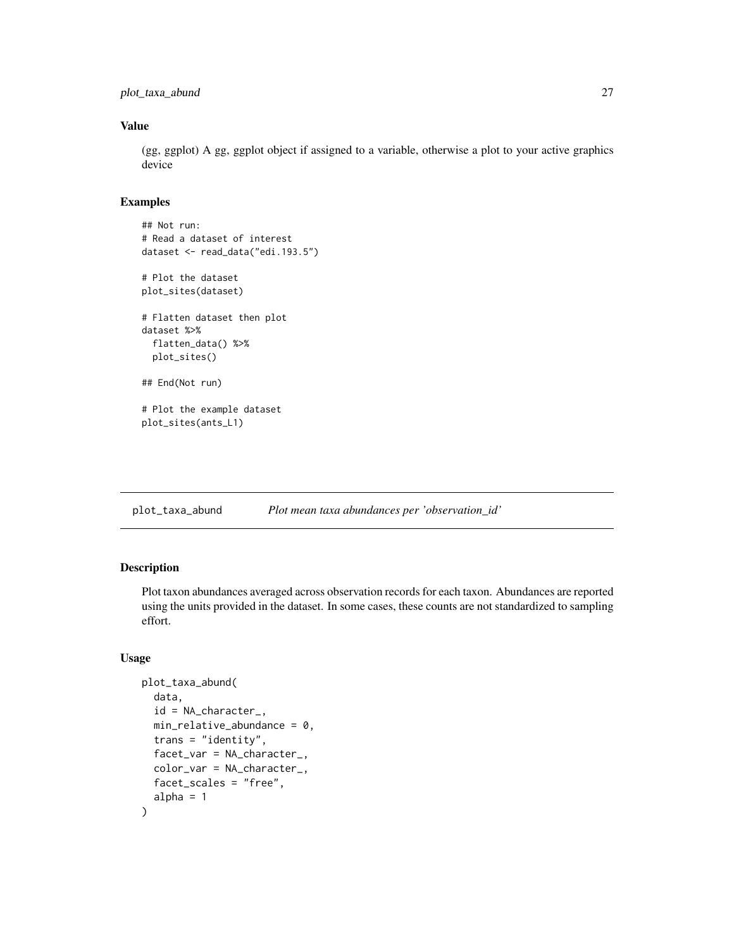```
plot_taxa_abund 27
```
# Value

(gg, ggplot) A gg, ggplot object if assigned to a variable, otherwise a plot to your active graphics device

## Examples

```
## Not run:
# Read a dataset of interest
dataset <- read_data("edi.193.5")
# Plot the dataset
plot_sites(dataset)
# Flatten dataset then plot
dataset %>%
 flatten_data() %>%
 plot_sites()
## End(Not run)
# Plot the example dataset
plot_sites(ants_L1)
```
plot\_taxa\_abund *Plot mean taxa abundances per 'observation\_id'*

# Description

Plot taxon abundances averaged across observation records for each taxon. Abundances are reported using the units provided in the dataset. In some cases, these counts are not standardized to sampling effort.

# Usage

```
plot_taxa_abund(
  data,
  id = NA_character_,
  min\_relative\_abundance = 0,trans = "identity",
  facet_var = NA_character_,
  color_var = NA_character_,
  facet_scales = "free",
  alpha = 1)
```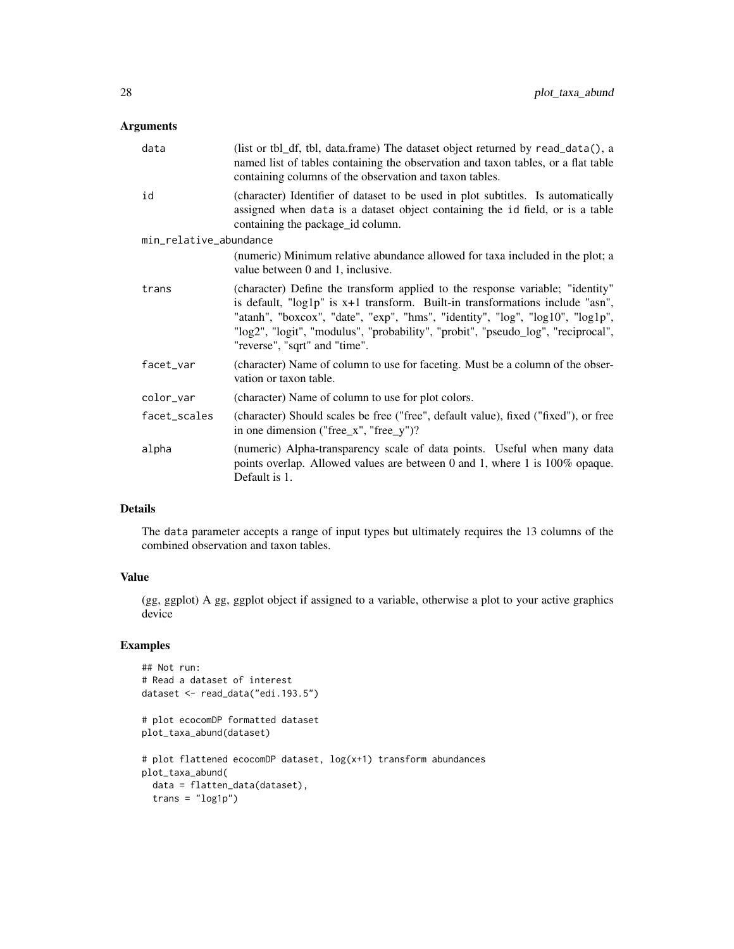# Arguments

| (list or tbl_df, tbl, data.frame) The dataset object returned by read_data(), a<br>named list of tables containing the observation and taxon tables, or a flat table<br>containing columns of the observation and taxon tables.                                                                                                                                      |
|----------------------------------------------------------------------------------------------------------------------------------------------------------------------------------------------------------------------------------------------------------------------------------------------------------------------------------------------------------------------|
| (character) Identifier of dataset to be used in plot subtitles. Is automatically<br>assigned when data is a dataset object containing the id field, or is a table<br>containing the package_id column.                                                                                                                                                               |
| min_relative_abundance                                                                                                                                                                                                                                                                                                                                               |
| (numeric) Minimum relative abundance allowed for taxa included in the plot; a<br>value between 0 and 1, inclusive.                                                                                                                                                                                                                                                   |
| (character) Define the transform applied to the response variable; "identity"<br>is default, "log1p" is x+1 transform. Built-in transformations include "asn",<br>"atanh", "boxcox", "date", "exp", "hms", "identity", "log", "log10", "log1p",<br>"log2", "logit", "modulus", "probability", "probit", "pseudo_log", "reciprocal",<br>"reverse", "sqrt" and "time". |
| (character) Name of column to use for faceting. Must be a column of the obser-<br>vation or taxon table.                                                                                                                                                                                                                                                             |
| (character) Name of column to use for plot colors.                                                                                                                                                                                                                                                                                                                   |
| (character) Should scales be free ("free", default value), fixed ("fixed"), or free<br>in one dimension ("free_x", "free_y")?                                                                                                                                                                                                                                        |
| (numeric) Alpha-transparency scale of data points. Useful when many data<br>points overlap. Allowed values are between 0 and 1, where 1 is 100% opaque.<br>Default is 1.                                                                                                                                                                                             |
|                                                                                                                                                                                                                                                                                                                                                                      |

# Details

The data parameter accepts a range of input types but ultimately requires the 13 columns of the combined observation and taxon tables.

# Value

(gg, ggplot) A gg, ggplot object if assigned to a variable, otherwise a plot to your active graphics device

# Examples

```
## Not run:
# Read a dataset of interest
dataset <- read_data("edi.193.5")
# plot ecocomDP formatted dataset
plot_taxa_abund(dataset)
# plot flattened ecocomDP dataset, log(x+1) transform abundances
plot_taxa_abund(
 data = flatten_data(dataset),
  trans = "log1p")
```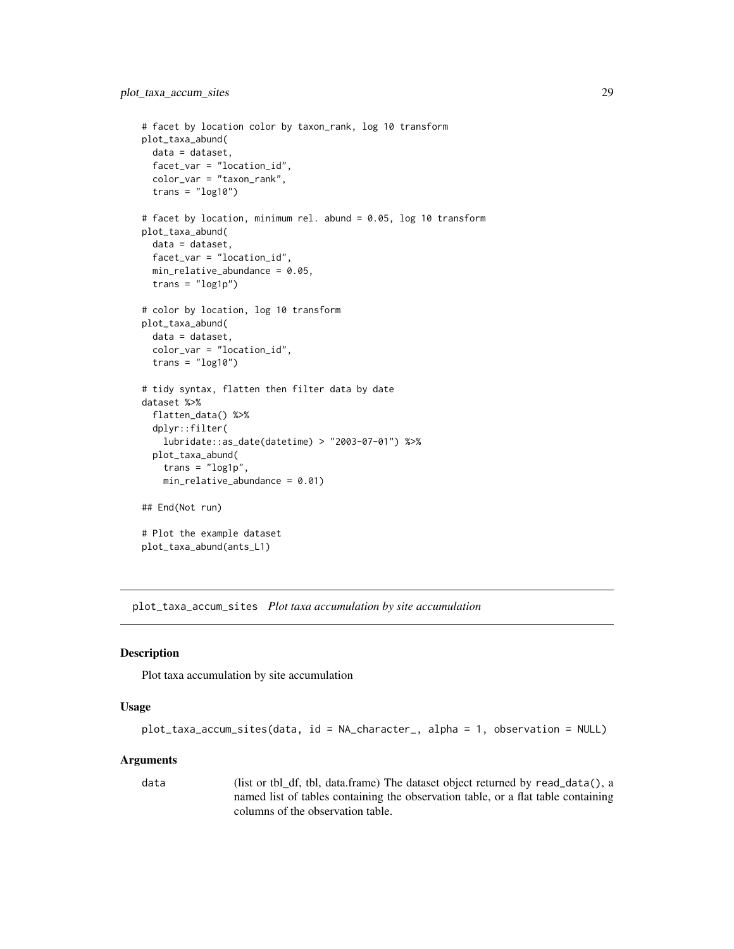```
# facet by location color by taxon_rank, log 10 transform
plot_taxa_abund(
  data = dataset,
  facet_var = "location_id",
  color_var = "taxon_rank",
  trans = "log10")
# facet by location, minimum rel. abund = 0.05, log 10 transform
plot_taxa_abund(
  data = dataset,
  facet_var = "location_id",
  min_relative_abundance = 0.05,
  trans = "log1p")# color by location, log 10 transform
plot_taxa_abund(
  data = dataset,
  color_var = "location_id",
  trans = "log10")
# tidy syntax, flatten then filter data by date
dataset %>%
  flatten_data() %>%
  dplyr::filter(
    lubridate::as_date(datetime) > "2003-07-01") %>%
  plot_taxa_abund(
    trans = "log1p",
    min_{relative}<sub>abundance</sub> = 0.01)
## End(Not run)
# Plot the example dataset
plot_taxa_abund(ants_L1)
```
plot\_taxa\_accum\_sites *Plot taxa accumulation by site accumulation*

# Description

Plot taxa accumulation by site accumulation

#### Usage

```
plot_taxa_accum_sites(data, id = NA_character_, alpha = 1, observation = NULL)
```
#### Arguments

data (list or tbl\_df, tbl, data.frame) The dataset object returned by read\_data(), a named list of tables containing the observation table, or a flat table containing columns of the observation table.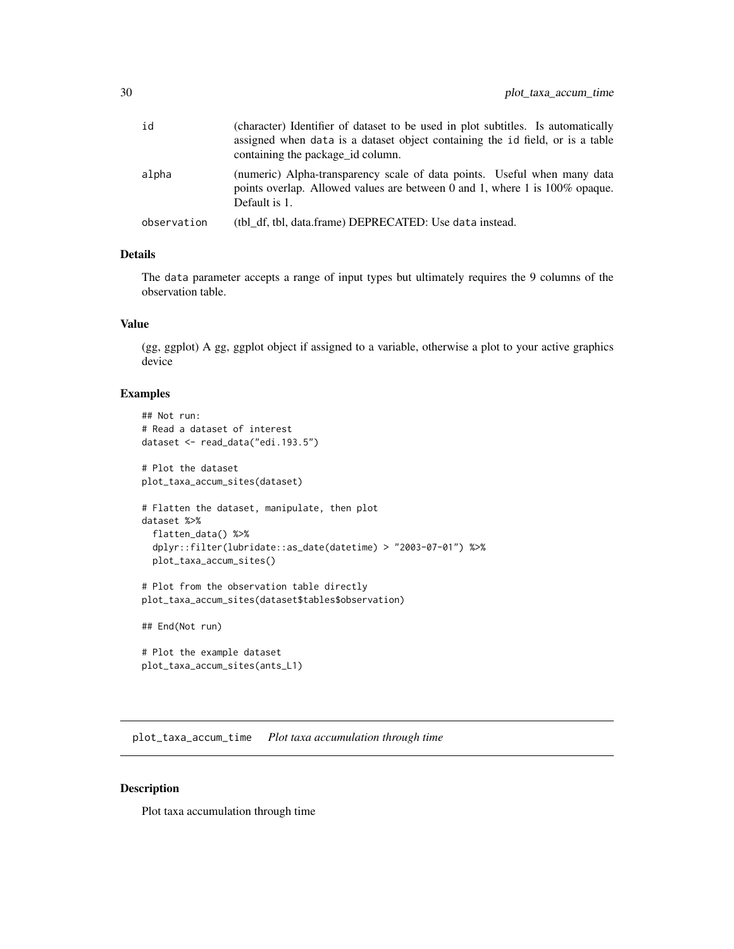<span id="page-29-0"></span>

| id          | (character) Identifier of dataset to be used in plot subtitles. Is automatically<br>assigned when data is a dataset object containing the id field, or is a table<br>containing the package id column. |
|-------------|--------------------------------------------------------------------------------------------------------------------------------------------------------------------------------------------------------|
| alpha       | (numeric) Alpha-transparency scale of data points. Useful when many data<br>points overlap. Allowed values are between 0 and 1, where 1 is $100\%$ opaque.<br>Default is 1.                            |
| observation | (tbl df, tbl, data.frame) DEPRECATED: Use data instead.                                                                                                                                                |

#### Details

The data parameter accepts a range of input types but ultimately requires the 9 columns of the observation table.

# Value

(gg, ggplot) A gg, ggplot object if assigned to a variable, otherwise a plot to your active graphics device

# Examples

```
## Not run:
# Read a dataset of interest
dataset <- read_data("edi.193.5")
# Plot the dataset
plot_taxa_accum_sites(dataset)
# Flatten the dataset, manipulate, then plot
dataset %>%
  flatten_data() %>%
  dplyr::filter(lubridate::as_date(datetime) > "2003-07-01") %>%
  plot_taxa_accum_sites()
# Plot from the observation table directly
plot_taxa_accum_sites(dataset$tables$observation)
## End(Not run)
# Plot the example dataset
plot_taxa_accum_sites(ants_L1)
```
plot\_taxa\_accum\_time *Plot taxa accumulation through time*

#### Description

Plot taxa accumulation through time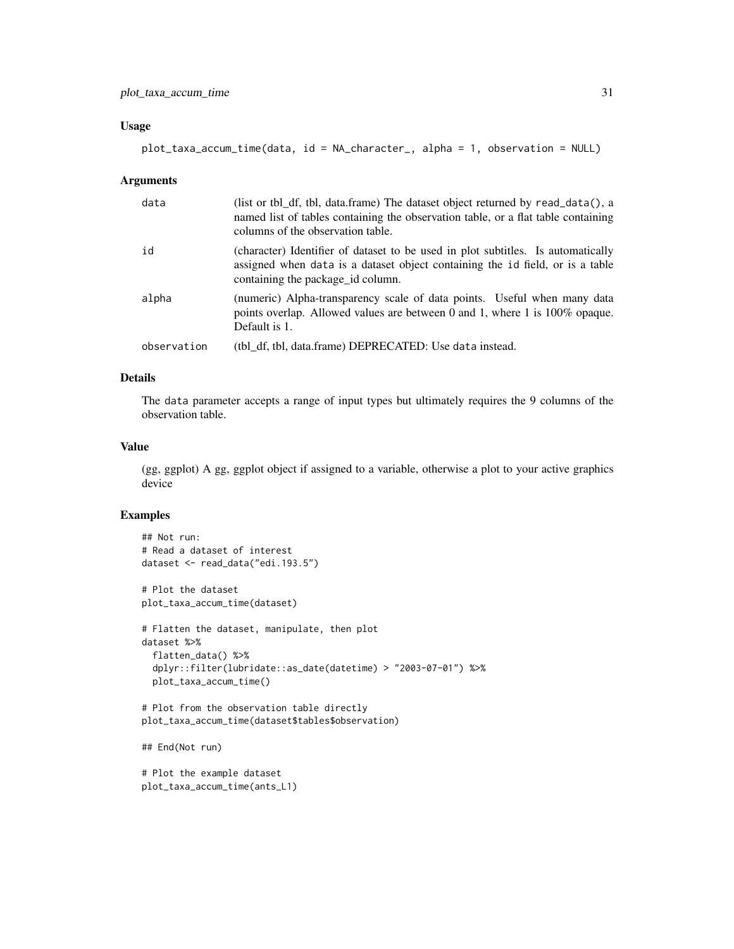# Usage

```
plot_taxa_accum_time(data, id = NA_character_, alpha = 1, observation = NULL)
```
#### Arguments

| data        | (list or tbl_df, tbl, data.frame) The dataset object returned by read_data(), a<br>named list of tables containing the observation table, or a flat table containing<br>columns of the observation table. |
|-------------|-----------------------------------------------------------------------------------------------------------------------------------------------------------------------------------------------------------|
| id          | (character) Identifier of dataset to be used in plot subtitles. Is automatically<br>assigned when data is a dataset object containing the id field, or is a table<br>containing the package id column.    |
| alpha       | (numeric) Alpha-transparency scale of data points. Useful when many data<br>points overlap. Allowed values are between 0 and 1, where 1 is $100\%$ opaque.<br>Default is 1.                               |
| observation | (tbl df, tbl, data.frame) DEPRECATED: Use data instead.                                                                                                                                                   |

# Details

The data parameter accepts a range of input types but ultimately requires the 9 columns of the observation table.

#### Value

(gg, ggplot) A gg, ggplot object if assigned to a variable, otherwise a plot to your active graphics device

# Examples

```
## Not run:
# Read a dataset of interest
dataset <- read_data("edi.193.5")
# Plot the dataset
plot_taxa_accum_time(dataset)
# Flatten the dataset, manipulate, then plot
dataset %>%
  flatten_data() %>%
  dplyr::filter(lubridate::as_date(datetime) > "2003-07-01") %>%
  plot_taxa_accum_time()
# Plot from the observation table directly
plot_taxa_accum_time(dataset$tables$observation)
```
## End(Not run)

```
# Plot the example dataset
plot_taxa_accum_time(ants_L1)
```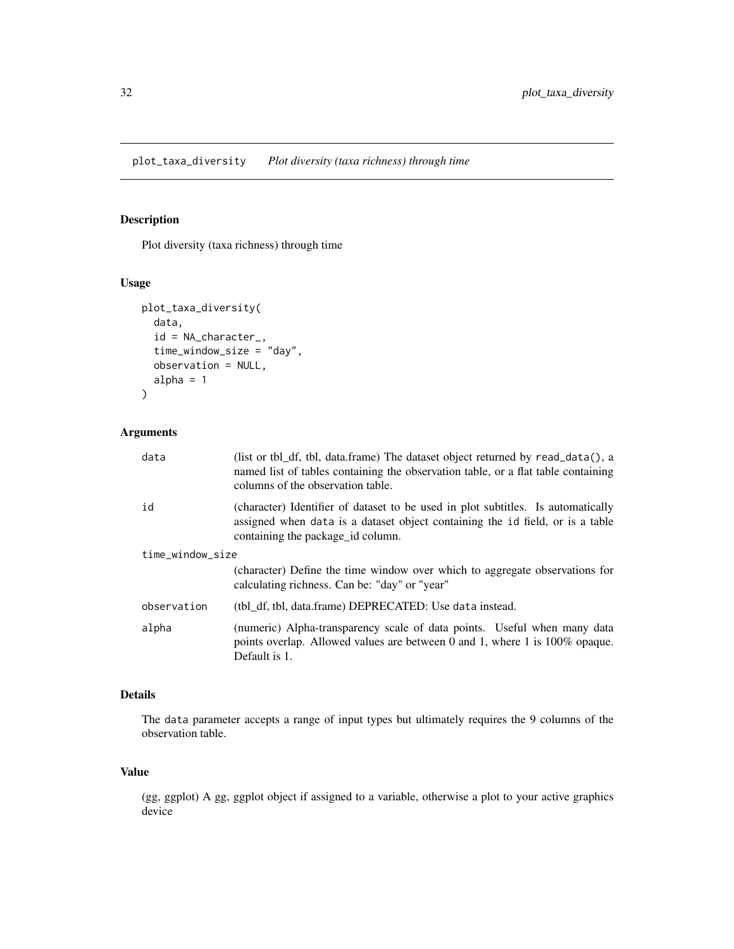# <span id="page-31-0"></span>Description

Plot diversity (taxa richness) through time

# Usage

```
plot_taxa_diversity(
  data,
  id = NA_character_,
  time_window_size = "day",
 observation = NULL,
  alpha = 1)
```
# Arguments

| data             | (list or tbl_df, tbl, data.frame) The dataset object returned by $read_data()$ , a<br>named list of tables containing the observation table, or a flat table containing<br>columns of the observation table. |
|------------------|--------------------------------------------------------------------------------------------------------------------------------------------------------------------------------------------------------------|
| id               | (character) Identifier of dataset to be used in plot subtitles. Is automatically<br>assigned when data is a dataset object containing the id field, or is a table<br>containing the package id column.       |
| time_window_size |                                                                                                                                                                                                              |
|                  | (character) Define the time window over which to aggregate observations for<br>calculating richness. Can be: "day" or "year"                                                                                 |
| observation      | (tbl df, tbl, data.frame) DEPRECATED: Use data instead.                                                                                                                                                      |
| alpha            | (numeric) Alpha-transparency scale of data points. Useful when many data<br>points overlap. Allowed values are between 0 and 1, where 1 is $100\%$ opaque.<br>Default is 1.                                  |

# Details

The data parameter accepts a range of input types but ultimately requires the 9 columns of the observation table.

#### Value

(gg, ggplot) A gg, ggplot object if assigned to a variable, otherwise a plot to your active graphics device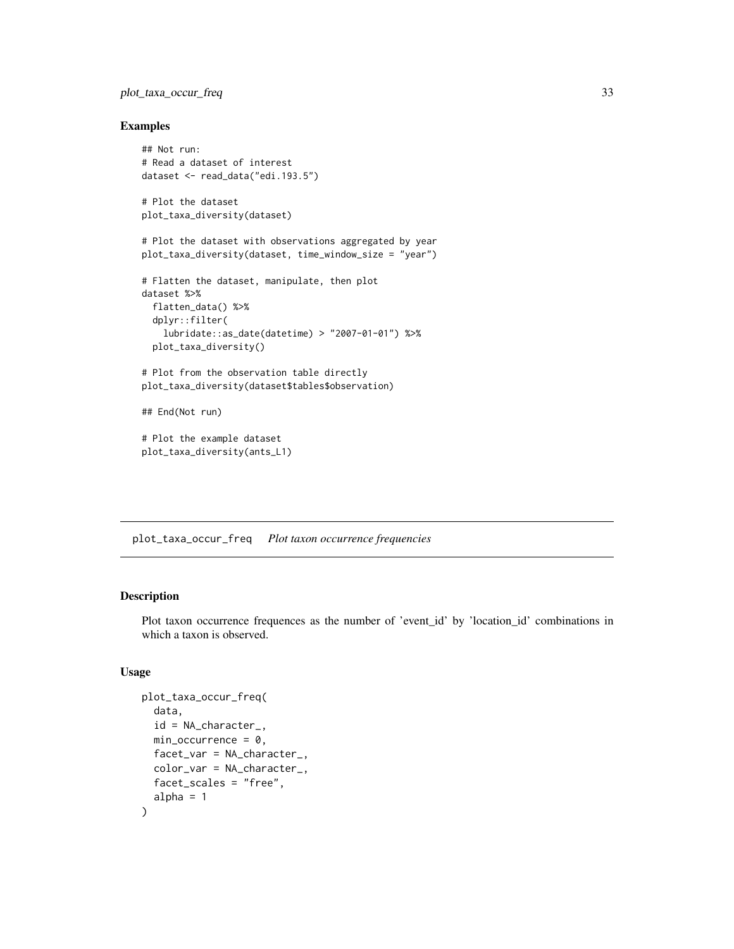# <span id="page-32-0"></span>plot\_taxa\_occur\_freq 33

#### Examples

```
## Not run:
# Read a dataset of interest
dataset <- read_data("edi.193.5")
# Plot the dataset
plot_taxa_diversity(dataset)
# Plot the dataset with observations aggregated by year
plot_taxa_diversity(dataset, time_window_size = "year")
# Flatten the dataset, manipulate, then plot
dataset %>%
 flatten_data() %>%
 dplyr::filter(
   lubridate::as_date(datetime) > "2007-01-01") %>%
 plot_taxa_diversity()
# Plot from the observation table directly
plot_taxa_diversity(dataset$tables$observation)
## End(Not run)
# Plot the example dataset
plot_taxa_diversity(ants_L1)
```
plot\_taxa\_occur\_freq *Plot taxon occurrence frequencies*

# Description

Plot taxon occurrence frequences as the number of 'event\_id' by 'location\_id' combinations in which a taxon is observed.

#### Usage

```
plot_taxa_occur_freq(
  data,
  id = NA_character_,
  min\_occurrence = 0,
  facet_var = NA_character_,
  color_var = NA_character_,
  facet_scales = "free",
  alpha = 1)
```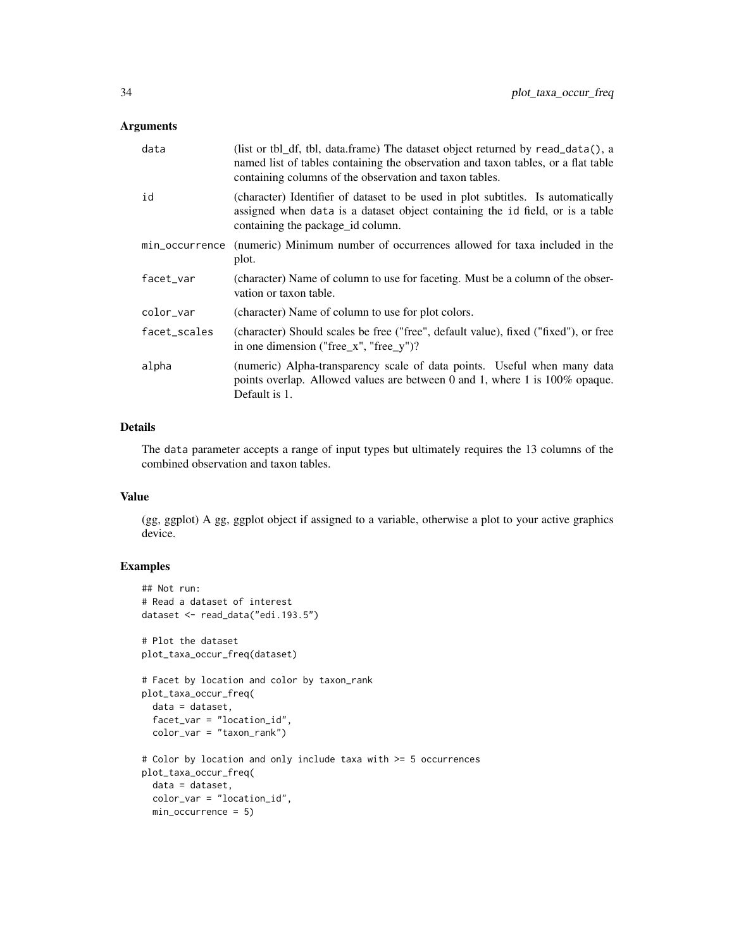# Arguments

| data           | (list or tbl_df, tbl, data.frame) The dataset object returned by read_data(), a<br>named list of tables containing the observation and taxon tables, or a flat table<br>containing columns of the observation and taxon tables. |
|----------------|---------------------------------------------------------------------------------------------------------------------------------------------------------------------------------------------------------------------------------|
| id             | (character) Identifier of dataset to be used in plot subtitles. Is automatically<br>assigned when data is a dataset object containing the id field, or is a table<br>containing the package id column.                          |
| min_occurrence | (numeric) Minimum number of occurrences allowed for taxa included in the<br>plot.                                                                                                                                               |
| facet_var      | (character) Name of column to use for faceting. Must be a column of the obser-<br>vation or taxon table.                                                                                                                        |
| color_var      | (character) Name of column to use for plot colors.                                                                                                                                                                              |
| facet_scales   | (character) Should scales be free ("free", default value), fixed ("fixed"), or free<br>in one dimension ("free_x", "free_y")?                                                                                                   |
| alpha          | (numeric) Alpha-transparency scale of data points. Useful when many data<br>points overlap. Allowed values are between 0 and 1, where 1 is 100% opaque.<br>Default is 1.                                                        |

#### Details

The data parameter accepts a range of input types but ultimately requires the 13 columns of the combined observation and taxon tables.

#### Value

(gg, ggplot) A gg, ggplot object if assigned to a variable, otherwise a plot to your active graphics device.

# Examples

```
## Not run:
# Read a dataset of interest
dataset <- read_data("edi.193.5")
# Plot the dataset
plot_taxa_occur_freq(dataset)
# Facet by location and color by taxon_rank
plot_taxa_occur_freq(
 data = dataset,
  facet_var = "location_id",
  color_var = "taxon_rank")
# Color by location and only include taxa with >= 5 occurrences
plot_taxa_occur_freq(
 data = dataset,
 color_var = "location_id",
 min_occurrence = 5)
```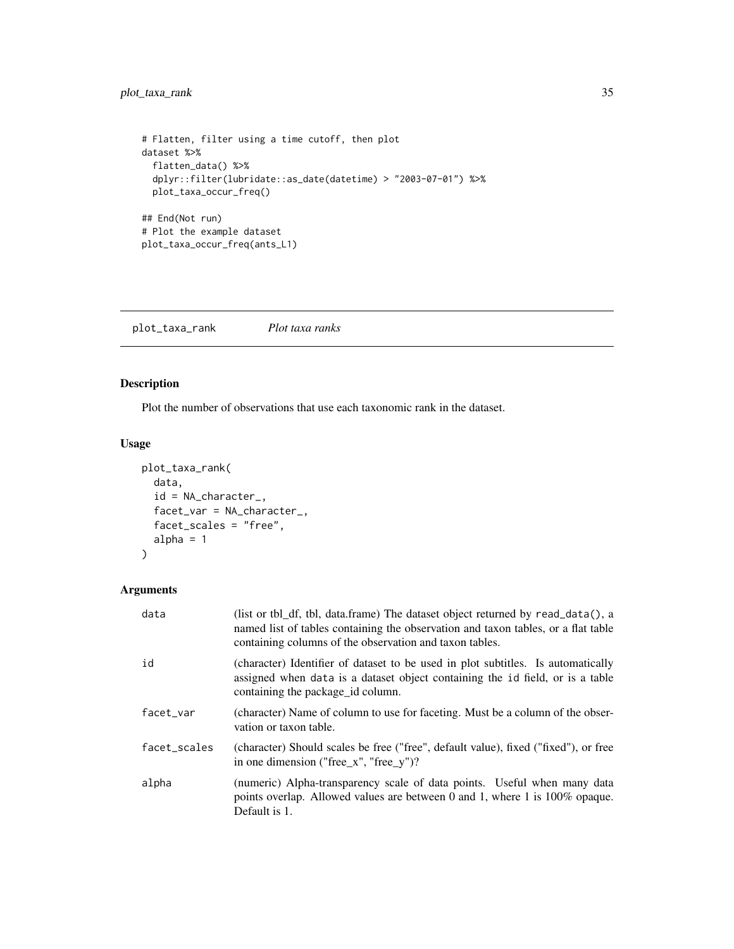# <span id="page-34-0"></span>plot\_taxa\_rank 35

```
# Flatten, filter using a time cutoff, then plot
dataset %>%
  flatten_data() %>%
  dplyr::filter(lubridate::as_date(datetime) > "2003-07-01") %>%
  plot_taxa_occur_freq()
## End(Not run)
# Plot the example dataset
plot_taxa_occur_freq(ants_L1)
```
plot\_taxa\_rank *Plot taxa ranks*

# Description

Plot the number of observations that use each taxonomic rank in the dataset.

#### Usage

```
plot_taxa_rank(
  data,
  id = NA_character_,
  facet_var = NA_character_,
  facet_scales = "free",
  alpha = 1
\mathcal{L}
```
# Arguments

| data         | (list or tbl_df, tbl, data.frame) The dataset object returned by $read_data()$ , a<br>named list of tables containing the observation and taxon tables, or a flat table<br>containing columns of the observation and taxon tables. |
|--------------|------------------------------------------------------------------------------------------------------------------------------------------------------------------------------------------------------------------------------------|
| id           | (character) Identifier of dataset to be used in plot subtitles. Is automatically<br>assigned when data is a dataset object containing the id field, or is a table<br>containing the package id column.                             |
| facet_var    | (character) Name of column to use for faceting. Must be a column of the obser-<br>vation or taxon table.                                                                                                                           |
| facet_scales | (character) Should scales be free ("free", default value), fixed ("fixed"), or free<br>in one dimension ("free_x", "free_y")?                                                                                                      |
| alpha        | (numeric) Alpha-transparency scale of data points. Useful when many data<br>points overlap. Allowed values are between 0 and 1, where 1 is $100\%$ opaque.<br>Default is 1.                                                        |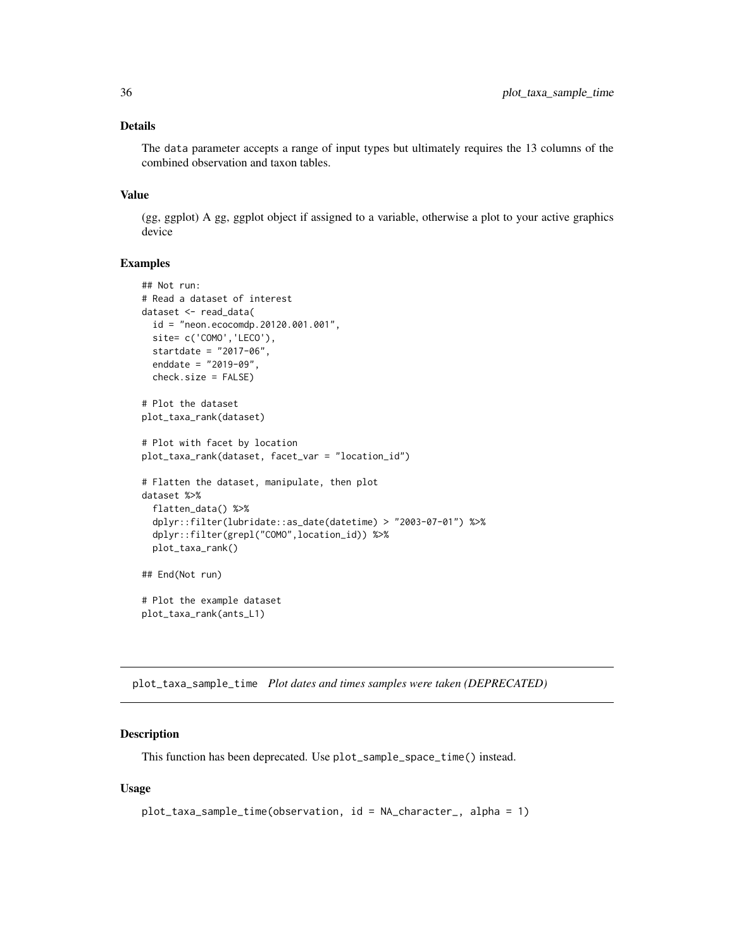# <span id="page-35-0"></span>Details

The data parameter accepts a range of input types but ultimately requires the 13 columns of the combined observation and taxon tables.

# Value

(gg, ggplot) A gg, ggplot object if assigned to a variable, otherwise a plot to your active graphics device

# Examples

```
## Not run:
# Read a dataset of interest
dataset <- read_data(
 id = "neon.ecocomdp.20120.001.001",
  site= c('COMO','LECO'),
  startdate = "2017-06",
  enddate = "2019-09",
  check.size = FALSE)
# Plot the dataset
plot_taxa_rank(dataset)
# Plot with facet by location
plot_taxa_rank(dataset, facet_var = "location_id")
# Flatten the dataset, manipulate, then plot
dataset %>%
  flatten_data() %>%
  dplyr::filter(lubridate::as_date(datetime) > "2003-07-01") %>%
  dplyr::filter(grepl("COMO",location_id)) %>%
  plot_taxa_rank()
## End(Not run)
# Plot the example dataset
plot_taxa_rank(ants_L1)
```
plot\_taxa\_sample\_time *Plot dates and times samples were taken (DEPRECATED)*

#### Description

This function has been deprecated. Use plot\_sample\_space\_time() instead.

#### Usage

```
plot_taxa_sample_time(observation, id = NA_character_, alpha = 1)
```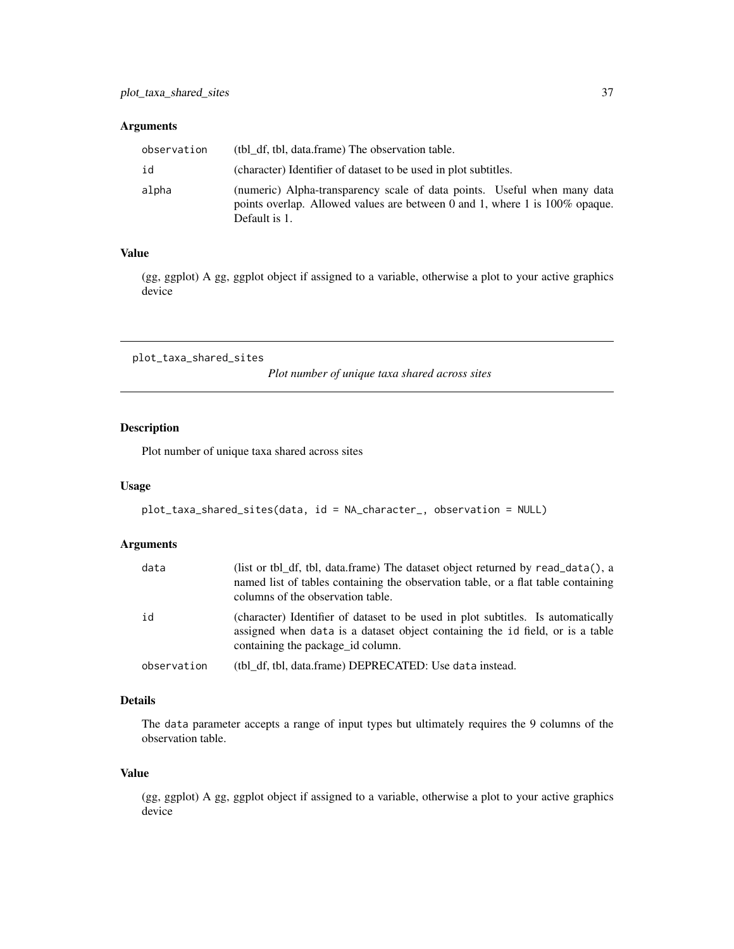# <span id="page-36-0"></span>Arguments

| observation | (tbl df, tbl, data.frame) The observation table.                                                                                                                            |
|-------------|-----------------------------------------------------------------------------------------------------------------------------------------------------------------------------|
| id          | (character) Identifier of dataset to be used in plot subtitles.                                                                                                             |
| alpha       | (numeric) Alpha-transparency scale of data points. Useful when many data<br>points overlap. Allowed values are between 0 and 1, where 1 is $100\%$ opaque.<br>Default is 1. |

# Value

(gg, ggplot) A gg, ggplot object if assigned to a variable, otherwise a plot to your active graphics device

plot\_taxa\_shared\_sites

*Plot number of unique taxa shared across sites*

# Description

Plot number of unique taxa shared across sites

#### Usage

```
plot_taxa_shared_sites(data, id = NA_character_, observation = NULL)
```
# Arguments

| data        | (list or tbl df, tbl, data.frame) The dataset object returned by read_data(), a<br>named list of tables containing the observation table, or a flat table containing<br>columns of the observation table. |
|-------------|-----------------------------------------------------------------------------------------------------------------------------------------------------------------------------------------------------------|
| id          | (character) Identifier of dataset to be used in plot subtitles. Is automatically<br>assigned when data is a dataset object containing the id field, or is a table<br>containing the package id column.    |
| observation | (tbl df, tbl, data.frame) DEPRECATED: Use data instead.                                                                                                                                                   |

# Details

The data parameter accepts a range of input types but ultimately requires the 9 columns of the observation table.

# Value

(gg, ggplot) A gg, ggplot object if assigned to a variable, otherwise a plot to your active graphics device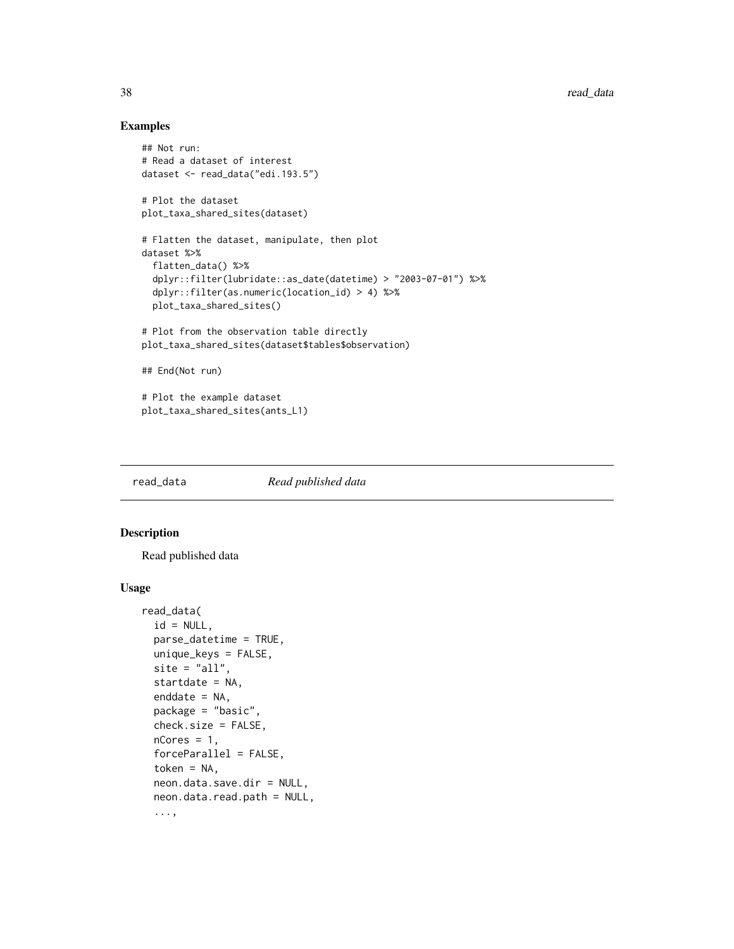# Examples

```
## Not run:
# Read a dataset of interest
dataset <- read_data("edi.193.5")
# Plot the dataset
plot_taxa_shared_sites(dataset)
# Flatten the dataset, manipulate, then plot
dataset %>%
  flatten_data() %>%
  dplyr::filter(lubridate::as_date(datetime) > "2003-07-01") %>%
  dplyr::filter(as.numeric(location_id) > 4) %>%
  plot_taxa_shared_sites()
# Plot from the observation table directly
plot_taxa_shared_sites(dataset$tables$observation)
## End(Not run)
# Plot the example dataset
plot_taxa_shared_sites(ants_L1)
```
read\_data *Read published data*

# Description

Read published data

#### Usage

```
read_data(
  id = NULL,parse_datetime = TRUE,
 unique_keys = FALSE,
  site = "all",startdate = NA,
  enddate = NA,
 package = "basic",
 check.size = FALSE,
  nCores = 1,
  forceParallel = FALSE,
  token = NA,
  neon.data.save.dir = NULL,
  neon.data.read.path = NULL,
  ...,
```
<span id="page-37-0"></span>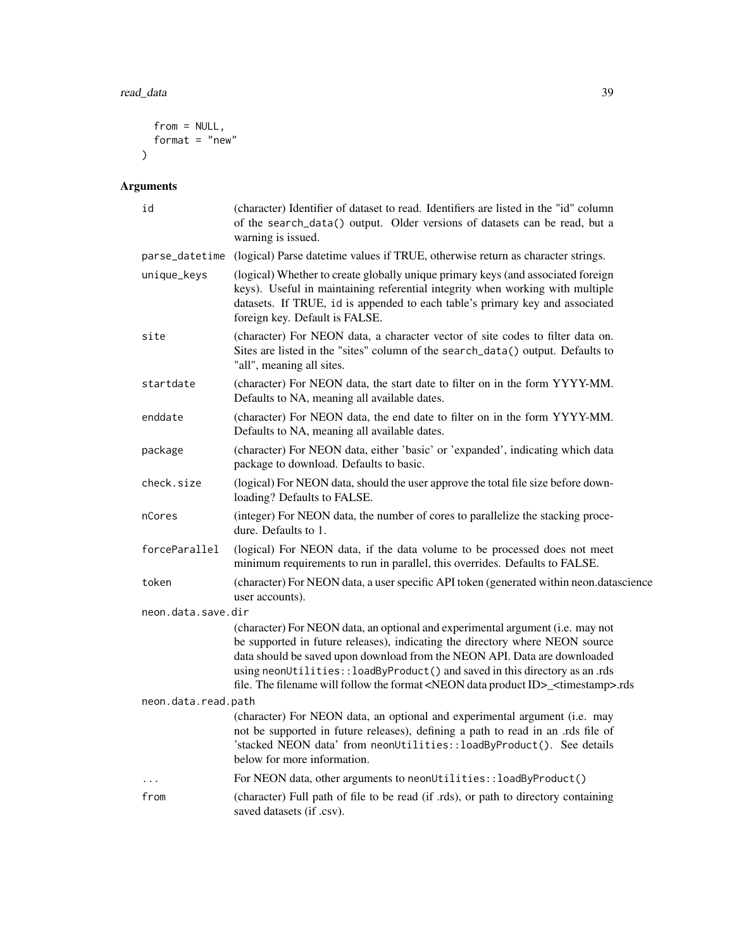```
from = NULL,format = "new"
\overline{)}
```
# Arguments

| id                  | (character) Identifier of dataset to read. Identifiers are listed in the "id" column<br>of the search_data() output. Older versions of datasets can be read, but a<br>warning is issued.                                                                                                                                                                                                                                                   |  |
|---------------------|--------------------------------------------------------------------------------------------------------------------------------------------------------------------------------------------------------------------------------------------------------------------------------------------------------------------------------------------------------------------------------------------------------------------------------------------|--|
| parse_datetime      | (logical) Parse date time values if TRUE, otherwise return as character strings.                                                                                                                                                                                                                                                                                                                                                           |  |
| unique_keys         | (logical) Whether to create globally unique primary keys (and associated foreign<br>keys). Useful in maintaining referential integrity when working with multiple<br>datasets. If TRUE, id is appended to each table's primary key and associated<br>foreign key. Default is FALSE.                                                                                                                                                        |  |
| site                | (character) For NEON data, a character vector of site codes to filter data on.<br>Sites are listed in the "sites" column of the search_data() output. Defaults to<br>"all", meaning all sites.                                                                                                                                                                                                                                             |  |
| startdate           | (character) For NEON data, the start date to filter on in the form YYYY-MM.<br>Defaults to NA, meaning all available dates.                                                                                                                                                                                                                                                                                                                |  |
| enddate             | (character) For NEON data, the end date to filter on in the form YYYY-MM.<br>Defaults to NA, meaning all available dates.                                                                                                                                                                                                                                                                                                                  |  |
| package             | (character) For NEON data, either 'basic' or 'expanded', indicating which data<br>package to download. Defaults to basic.                                                                                                                                                                                                                                                                                                                  |  |
| check.size          | (logical) For NEON data, should the user approve the total file size before down-<br>loading? Defaults to FALSE.                                                                                                                                                                                                                                                                                                                           |  |
| nCores              | (integer) For NEON data, the number of cores to parallelize the stacking proce-<br>dure. Defaults to 1.                                                                                                                                                                                                                                                                                                                                    |  |
| forceParallel       | (logical) For NEON data, if the data volume to be processed does not meet<br>minimum requirements to run in parallel, this overrides. Defaults to FALSE.                                                                                                                                                                                                                                                                                   |  |
| token               | (character) For NEON data, a user specific API token (generated within neon.datascience<br>user accounts).                                                                                                                                                                                                                                                                                                                                 |  |
| neon.data.save.dir  |                                                                                                                                                                                                                                                                                                                                                                                                                                            |  |
|                     | (character) For NEON data, an optional and experimental argument (i.e. may not<br>be supported in future releases), indicating the directory where NEON source<br>data should be saved upon download from the NEON API. Data are downloaded<br>using neonUtilities::loadByProduct() and saved in this directory as an .rds<br>file. The filename will follow the format <neon data="" id="" product="">_<timestamp>.rds</timestamp></neon> |  |
| neon.data.read.path |                                                                                                                                                                                                                                                                                                                                                                                                                                            |  |
|                     | (character) For NEON data, an optional and experimental argument (i.e. may<br>not be supported in future releases), defining a path to read in an .rds file of<br>'stacked NEON data' from neonUtilities:: loadByProduct(). See details<br>below for more information.                                                                                                                                                                     |  |
|                     | For NEON data, other arguments to neonUtilities:: loadByProduct()                                                                                                                                                                                                                                                                                                                                                                          |  |
| from                | (character) Full path of file to be read (if .rds), or path to directory containing<br>saved datasets (if .csv).                                                                                                                                                                                                                                                                                                                           |  |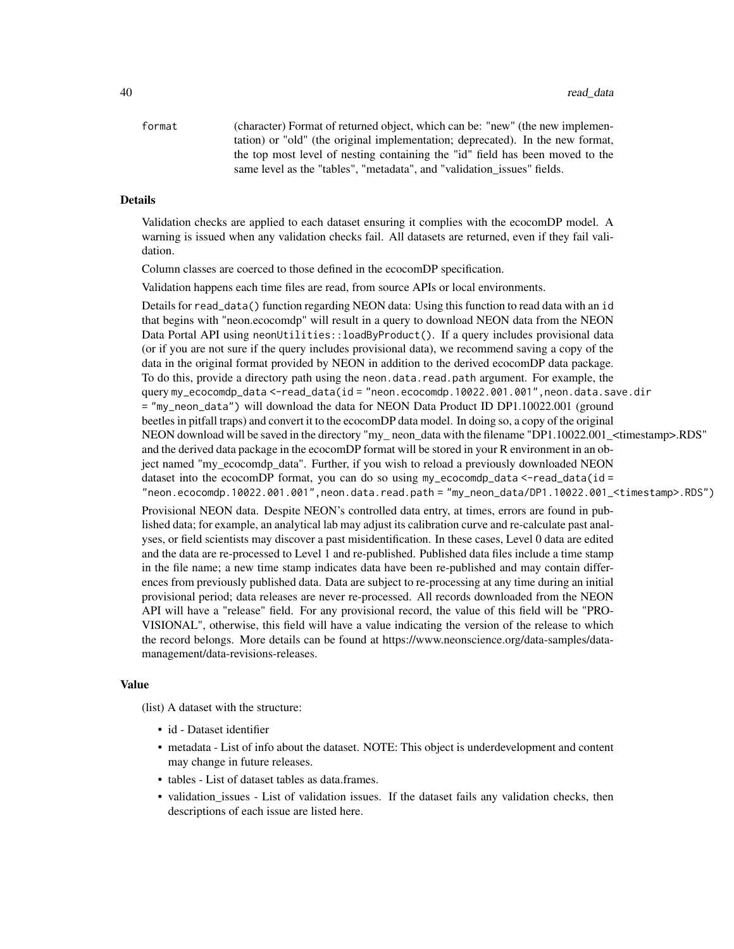format (character) Format of returned object, which can be: "new" (the new implementation) or "old" (the original implementation; deprecated). In the new format, the top most level of nesting containing the "id" field has been moved to the same level as the "tables", "metadata", and "validation\_issues" fields.

#### Details

Validation checks are applied to each dataset ensuring it complies with the ecocomDP model. A warning is issued when any validation checks fail. All datasets are returned, even if they fail validation.

Column classes are coerced to those defined in the ecocomDP specification.

Validation happens each time files are read, from source APIs or local environments.

Details for read\_data() function regarding NEON data: Using this function to read data with an id that begins with "neon.ecocomdp" will result in a query to download NEON data from the NEON Data Portal API using neonUtilities::loadByProduct(). If a query includes provisional data (or if you are not sure if the query includes provisional data), we recommend saving a copy of the data in the original format provided by NEON in addition to the derived ecocomDP data package. To do this, provide a directory path using the neon.data.read.path argument. For example, the query my\_ecocomdp\_data <-read\_data(id = "neon.ecocomdp.10022.001.001",neon.data.save.dir = "my\_neon\_data") will download the data for NEON Data Product ID DP1.10022.001 (ground beetles in pitfall traps) and convert it to the ecocomDP data model. In doing so, a copy of the original NEON download will be saved in the directory "my\_ neon\_data with the filename "DP1.10022.001\_<timestamp>.RDS" and the derived data package in the ecocomDP format will be stored in your R environment in an object named "my\_ecocomdp\_data". Further, if you wish to reload a previously downloaded NEON dataset into the ecocomDP format, you can do so using  $my\_ecocomdp\_data < -read\_data(id =$ "neon.ecocomdp.10022.001.001",neon.data.read.path = "my\_neon\_data/DP1.10022.001\_<timestamp>.RDS")

Provisional NEON data. Despite NEON's controlled data entry, at times, errors are found in published data; for example, an analytical lab may adjust its calibration curve and re-calculate past analyses, or field scientists may discover a past misidentification. In these cases, Level 0 data are edited and the data are re-processed to Level 1 and re-published. Published data files include a time stamp in the file name; a new time stamp indicates data have been re-published and may contain differences from previously published data. Data are subject to re-processing at any time during an initial provisional period; data releases are never re-processed. All records downloaded from the NEON API will have a "release" field. For any provisional record, the value of this field will be "PRO-VISIONAL", otherwise, this field will have a value indicating the version of the release to which the record belongs. More details can be found at https://www.neonscience.org/data-samples/datamanagement/data-revisions-releases.

#### Value

(list) A dataset with the structure:

- id Dataset identifier
- metadata List of info about the dataset. NOTE: This object is underdevelopment and content may change in future releases.
- tables List of dataset tables as data.frames.
- validation issues List of validation issues. If the dataset fails any validation checks, then descriptions of each issue are listed here.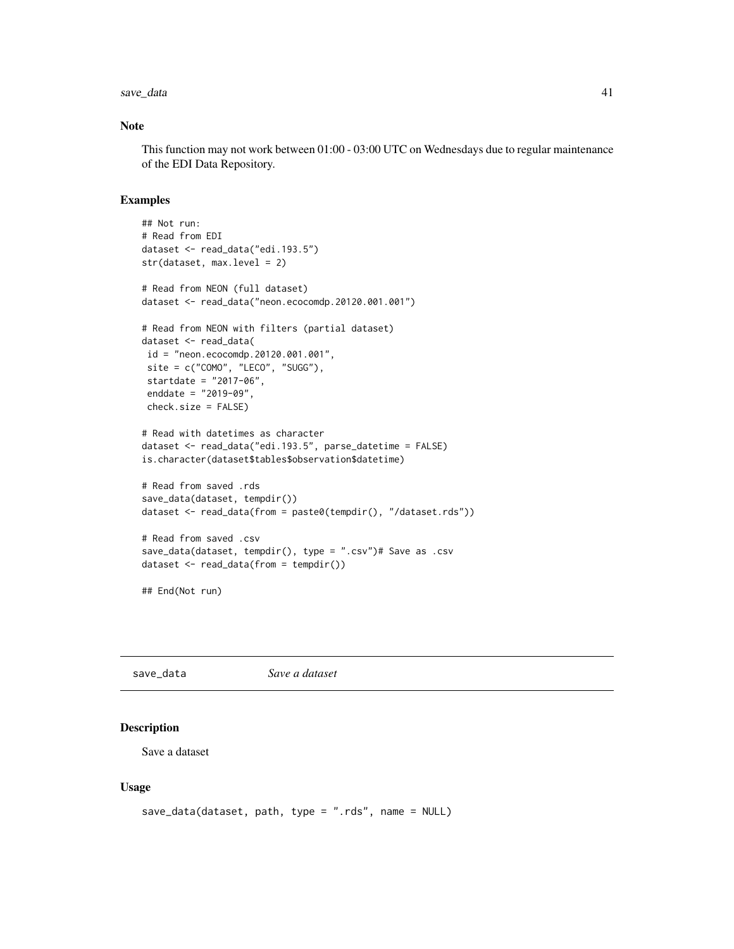#### <span id="page-40-0"></span>save\_data 41

## Note

This function may not work between 01:00 - 03:00 UTC on Wednesdays due to regular maintenance of the EDI Data Repository.

# Examples

```
## Not run:
# Read from EDI
dataset <- read_data("edi.193.5")
str(dataset, max.level = 2)
# Read from NEON (full dataset)
dataset <- read_data("neon.ecocomdp.20120.001.001")
# Read from NEON with filters (partial dataset)
dataset <- read_data(
 id = "neon.ecocomdp.20120.001.001",
 site = c("COMO", "LECO", "SUGG"),
 startdate = "2017-06",
 enddate = "2019-09",
 check.size = FALSE)
# Read with datetimes as character
dataset <- read_data("edi.193.5", parse_datetime = FALSE)
is.character(dataset$tables$observation$datetime)
# Read from saved .rds
save_data(dataset, tempdir())
dataset <- read_data(from = paste0(tempdir(), "/dataset.rds"))
# Read from saved .csv
save_data(dataset, tempdir(), type = ".csv")# Save as .csv
dataset <- read_data(from = tempdir())
```
## End(Not run)

save\_data *Save a dataset*

#### Description

Save a dataset

#### Usage

```
save_data(dataset, path, type = ".rds", name = NULL)
```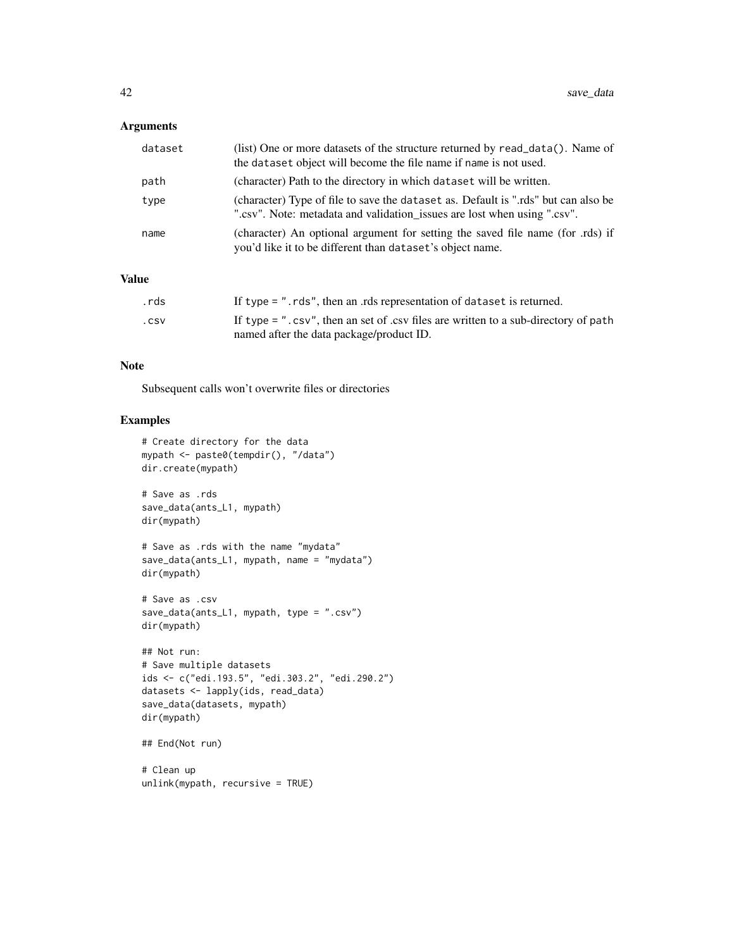# Arguments

| dataset | (list) One or more datasets of the structure returned by read_data(). Name of<br>the dataset object will become the file name if name is not used.            |
|---------|---------------------------------------------------------------------------------------------------------------------------------------------------------------|
| path    | (character) Path to the directory in which dataset will be written.                                                                                           |
| type    | (character) Type of file to save the dataset as. Default is "rds" but can also be<br>".csv". Note: metadata and validation_issues are lost when using ".csv". |
| name    | (character) An optional argument for setting the saved file name (for .rds) if<br>you'd like it to be different than dataset's object name.                   |

# Value

| .rds | If type $=$ ". rds", then an .rds representation of dataset is returned.                                                           |
|------|------------------------------------------------------------------------------------------------------------------------------------|
| .csv | If type = $"$ . csv", then an set of .csv files are written to a sub-directory of path<br>named after the data package/product ID. |

# Note

Subsequent calls won't overwrite files or directories

#### Examples

```
# Create directory for the data
mypath <- paste0(tempdir(), "/data")
dir.create(mypath)
# Save as .rds
save_data(ants_L1, mypath)
dir(mypath)
# Save as .rds with the name "mydata"
save_data(ants_L1, mypath, name = "mydata")
dir(mypath)
# Save as .csv
save_data(ants_L1, mypath, type = ".csv")
dir(mypath)
## Not run:
# Save multiple datasets
ids <- c("edi.193.5", "edi.303.2", "edi.290.2")
datasets <- lapply(ids, read_data)
save_data(datasets, mypath)
dir(mypath)
## End(Not run)
# Clean up
```
unlink(mypath, recursive = TRUE)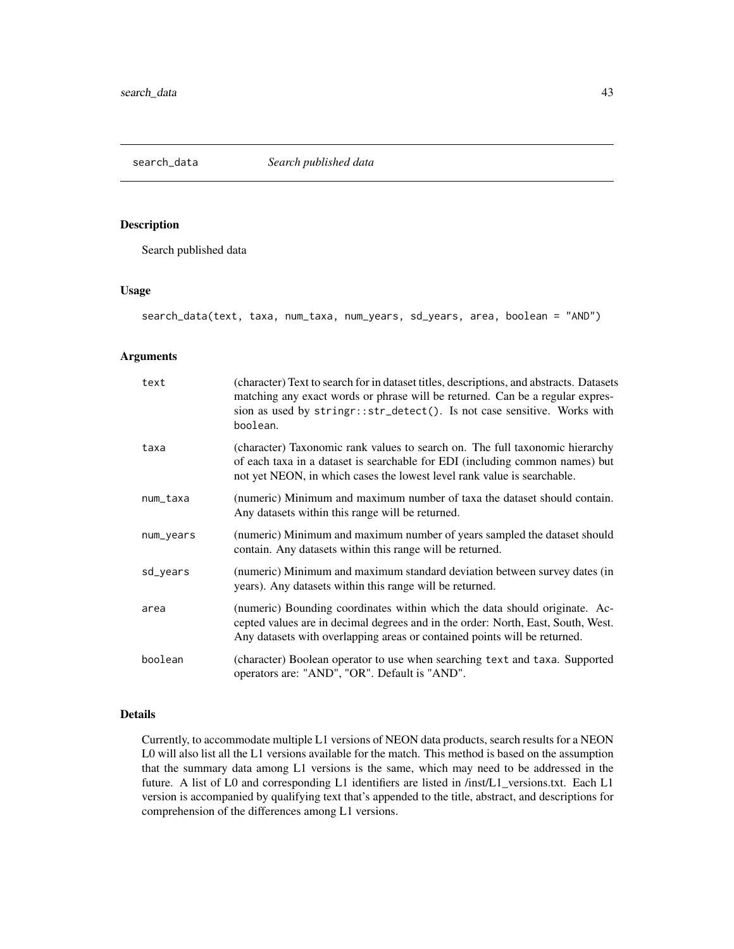<span id="page-42-0"></span>search\_data *Search published data*

# Description

Search published data

# Usage

search\_data(text, taxa, num\_taxa, num\_years, sd\_years, area, boolean = "AND")

# Arguments

| text      | (character) Text to search for in dataset titles, descriptions, and abstracts. Datasets<br>matching any exact words or phrase will be returned. Can be a regular expres-<br>sion as used by stringr::str_detect(). Is not case sensitive. Works with<br>boolean. |
|-----------|------------------------------------------------------------------------------------------------------------------------------------------------------------------------------------------------------------------------------------------------------------------|
| taxa      | (character) Taxonomic rank values to search on. The full taxonomic hierarchy<br>of each taxa in a dataset is searchable for EDI (including common names) but<br>not yet NEON, in which cases the lowest level rank value is searchable.                          |
| num_taxa  | (numeric) Minimum and maximum number of taxa the dataset should contain.<br>Any datasets within this range will be returned.                                                                                                                                     |
| num_years | (numeric) Minimum and maximum number of years sampled the dataset should<br>contain. Any datasets within this range will be returned.                                                                                                                            |
| sd_years  | (numeric) Minimum and maximum standard deviation between survey dates (in<br>years). Any datasets within this range will be returned.                                                                                                                            |
| area      | (numeric) Bounding coordinates within which the data should originate. Ac-<br>cepted values are in decimal degrees and in the order: North, East, South, West.<br>Any datasets with overlapping areas or contained points will be returned.                      |
| boolean   | (character) Boolean operator to use when searching text and taxa. Supported<br>operators are: "AND", "OR". Default is "AND".                                                                                                                                     |

# Details

Currently, to accommodate multiple L1 versions of NEON data products, search results for a NEON L0 will also list all the L1 versions available for the match. This method is based on the assumption that the summary data among L1 versions is the same, which may need to be addressed in the future. A list of L0 and corresponding L1 identifiers are listed in /inst/L1\_versions.txt. Each L1 version is accompanied by qualifying text that's appended to the title, abstract, and descriptions for comprehension of the differences among L1 versions.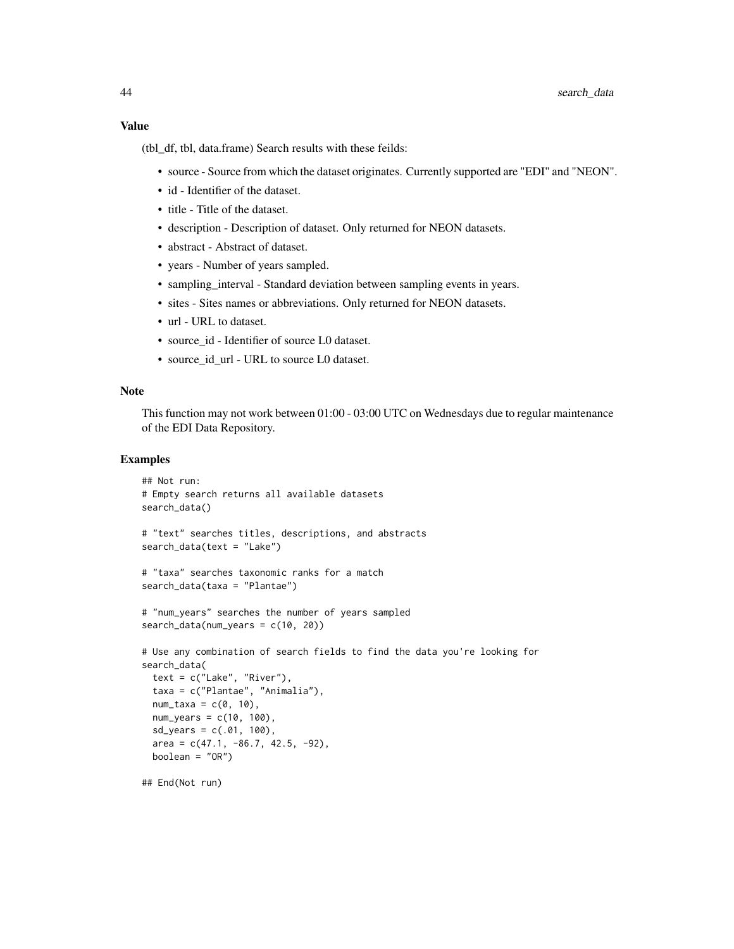# Value

(tbl\_df, tbl, data.frame) Search results with these feilds:

- source Source from which the dataset originates. Currently supported are "EDI" and "NEON".
- id Identifier of the dataset.
- title Title of the dataset.
- description Description of dataset. Only returned for NEON datasets.
- abstract Abstract of dataset.
- years Number of years sampled.
- sampling\_interval Standard deviation between sampling events in years.
- sites Sites names or abbreviations. Only returned for NEON datasets.
- url URL to dataset.
- source id Identifier of source L0 dataset.
- source\_id\_url URL to source L0 dataset.

# Note

This function may not work between 01:00 - 03:00 UTC on Wednesdays due to regular maintenance of the EDI Data Repository.

#### Examples

```
## Not run:
# Empty search returns all available datasets
search_data()
# "text" searches titles, descriptions, and abstracts
search_data(text = "Lake")
# "taxa" searches taxonomic ranks for a match
search_data(taxa = "Plantae")
# "num_years" searches the number of years sampled
search_data(num_years = c(10, 20))
# Use any combination of search fields to find the data you're looking for
search_data(
 text = c("Lake", "River"),
 taxa = c("Plantae", "Animalia"),
 num\_taxa = c(0, 10),
 num_years = c(10, 100),
 sd_years = c(.01, 100),
 area = c(47.1, -86.7, 42.5, -92),boolean = "OR")
```
## End(Not run)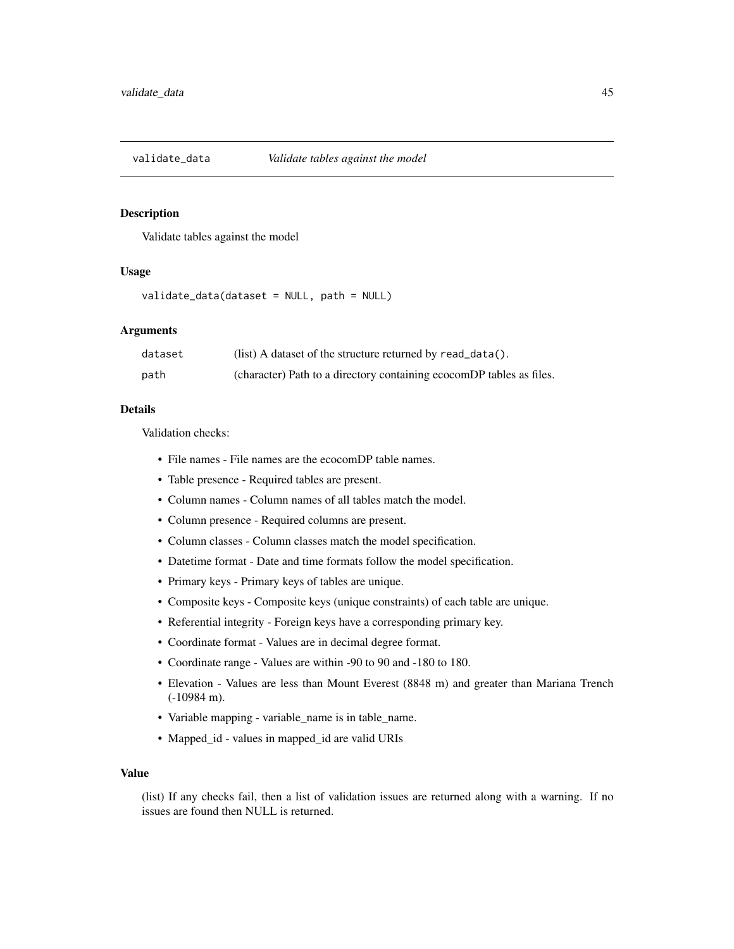<span id="page-44-0"></span>

#### Description

Validate tables against the model

#### Usage

validate\_data(dataset = NULL, path = NULL)

#### Arguments

| dataset | $(list)$ A dataset of the structure returned by read_data().         |
|---------|----------------------------------------------------------------------|
| path    | (character) Path to a directory containing ecocomDP tables as files. |

# Details

Validation checks:

- File names File names are the ecocomDP table names.
- Table presence Required tables are present.
- Column names Column names of all tables match the model.
- Column presence Required columns are present.
- Column classes Column classes match the model specification.
- Datetime format Date and time formats follow the model specification.
- Primary keys Primary keys of tables are unique.
- Composite keys Composite keys (unique constraints) of each table are unique.
- Referential integrity Foreign keys have a corresponding primary key.
- Coordinate format Values are in decimal degree format.
- Coordinate range Values are within -90 to 90 and -180 to 180.
- Elevation Values are less than Mount Everest (8848 m) and greater than Mariana Trench (-10984 m).
- Variable mapping variable\_name is in table\_name.
- Mapped\_id values in mapped\_id are valid URIs

# Value

(list) If any checks fail, then a list of validation issues are returned along with a warning. If no issues are found then NULL is returned.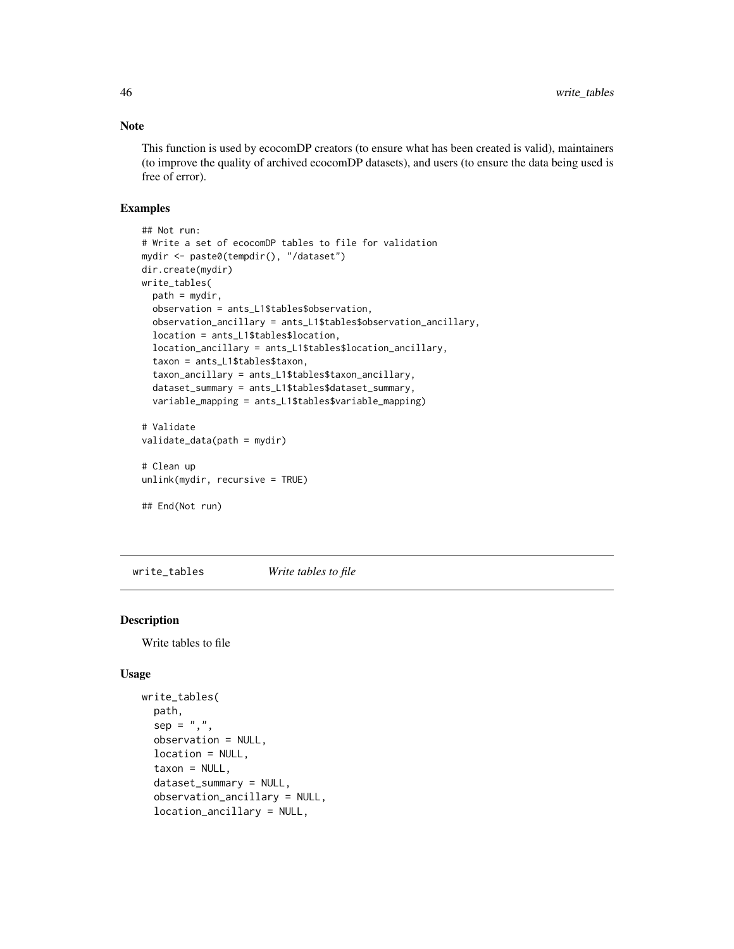# Note

This function is used by ecocomDP creators (to ensure what has been created is valid), maintainers (to improve the quality of archived ecocomDP datasets), and users (to ensure the data being used is free of error).

#### Examples

```
## Not run:
# Write a set of ecocomDP tables to file for validation
mydir <- paste0(tempdir(), "/dataset")
dir.create(mydir)
write_tables(
  path = mydir,
  observation = ants_L1$tables$observation,
  observation_ancillary = ants_L1$tables$observation_ancillary,
  location = ants_L1$tables$location,
  location_ancillary = ants_L1$tables$location_ancillary,
  taxon = ants_L1$tables$taxon,
  taxon_ancillary = ants_L1$tables$taxon_ancillary,
  dataset_summary = ants_L1$tables$dataset_summary,
  variable_mapping = ants_L1$tables$variable_mapping)
# Validate
validate_data(path = mydir)
# Clean up
unlink(mydir, recursive = TRUE)
## End(Not run)
```
write\_tables *Write tables to file*

# Description

Write tables to file

#### Usage

```
write_tables(
 path,
  sep = ","observation = NULL,
  location = NULL,
  taxon = NULL,dataset_summary = NULL,
  observation_ancillary = NULL,
  location_ancillary = NULL,
```
<span id="page-45-0"></span>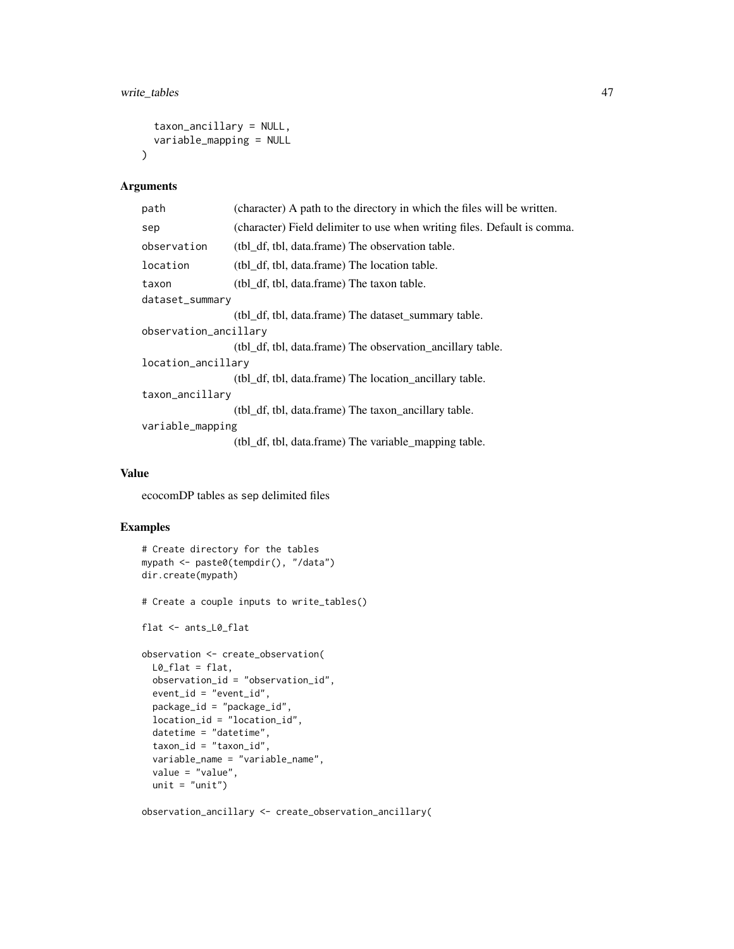```
taxon_ancillary = NULL,
  variable_mapping = NULL
\lambda
```
#### Arguments

| path                  | (character) A path to the directory in which the files will be written.  |  |
|-----------------------|--------------------------------------------------------------------------|--|
| sep                   | (character) Field delimiter to use when writing files. Default is comma. |  |
| observation           | (tbl_df, tbl, data.frame) The observation table.                         |  |
| location              | (tbl df, tbl, data.frame) The location table.                            |  |
| taxon                 | (tbl_df, tbl, data.frame) The taxon table.                               |  |
| dataset_summary       |                                                                          |  |
|                       | (tbl df, tbl, data.frame) The dataset summary table.                     |  |
| observation_ancillary |                                                                          |  |
|                       | (tbl_df, tbl, data.frame) The observation_ancillary table.               |  |
| location_ancillary    |                                                                          |  |
|                       | (tbl_df, tbl, data.frame) The location_ancillary table.                  |  |
| taxon_ancillary       |                                                                          |  |
|                       | (tbl_df, tbl, data.frame) The taxon_ancillary table.                     |  |
| variable_mapping      |                                                                          |  |
|                       | (tbl_df, tbl, data.frame) The variable_mapping table.                    |  |

# Value

ecocomDP tables as sep delimited files

# Examples

```
# Create directory for the tables
mypath <- paste0(tempdir(), "/data")
dir.create(mypath)
# Create a couple inputs to write_tables()
flat <- ants_L0_flat
observation <- create_observation(
 L0_flat = flat,
 observation_id = "observation_id",
 event_id = "event_id",
  package_id = "package_id",
  location_id = "location_id",
  datetime = "datetime",
  taxon_id = "taxon_id",
  variable_name = "variable_name",
  value = "value",
 unit = "unit")
```
observation\_ancillary <- create\_observation\_ancillary(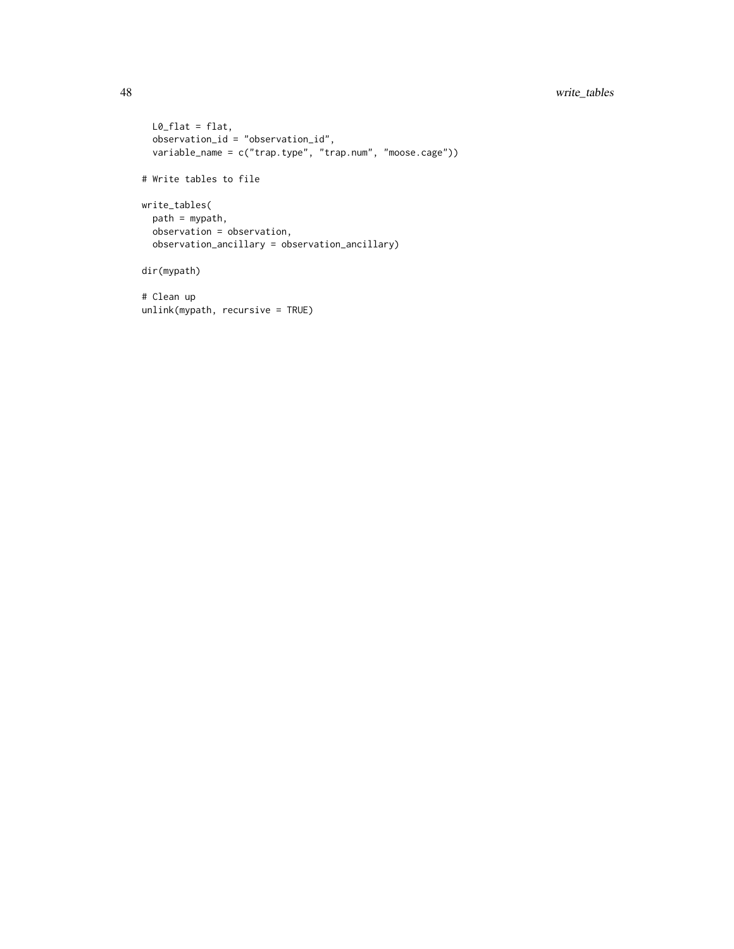# 48 write\_tables

```
L0_flat = flat,
  observation_id = "observation_id",
  variable_name = c("trap.type", "trap.num", "moose.cage"))
# Write tables to file
write_tables(
  path = mypath,
 observation = observation,
  observation_ancillary = observation_ancillary)
dir(mypath)
```

```
# Clean up
unlink(mypath, recursive = TRUE)
```